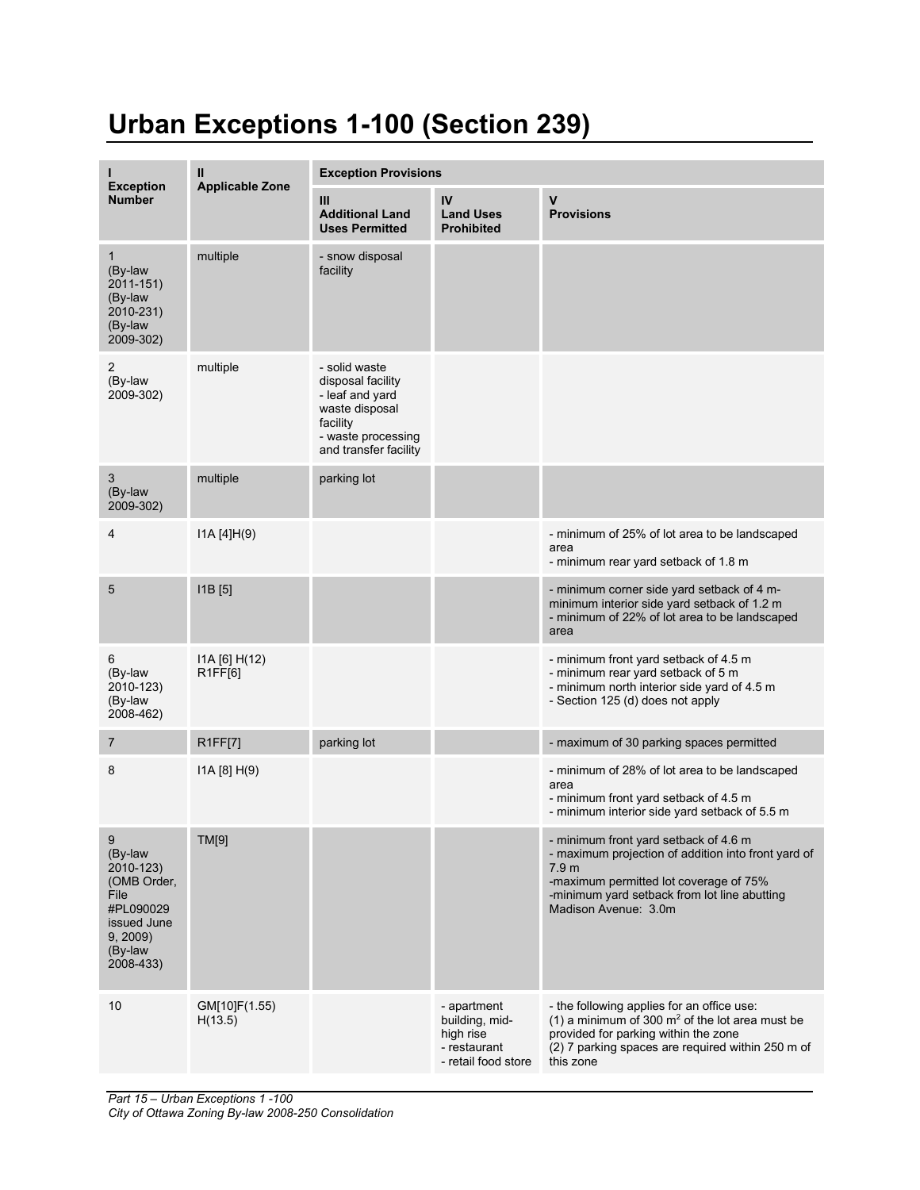## **Urban Exceptions 1-100 (Section 239)**

|                                                                                                                 | Ш                        | <b>Exception Provisions</b>                                                                                                        |                                                                                   |                                                                                                                                                                                                                                    |  |
|-----------------------------------------------------------------------------------------------------------------|--------------------------|------------------------------------------------------------------------------------------------------------------------------------|-----------------------------------------------------------------------------------|------------------------------------------------------------------------------------------------------------------------------------------------------------------------------------------------------------------------------------|--|
| <b>Exception</b><br><b>Number</b>                                                                               | <b>Applicable Zone</b>   | III<br><b>Additional Land</b><br><b>Uses Permitted</b>                                                                             | IV<br><b>Land Uses</b><br><b>Prohibited</b>                                       | $\mathbf v$<br><b>Provisions</b>                                                                                                                                                                                                   |  |
| $\mathbf{1}$<br>(By-law<br>2011-151)<br>(By-law<br>2010-231)<br>(By-law<br>2009-302)                            | multiple                 | - snow disposal<br>facility                                                                                                        |                                                                                   |                                                                                                                                                                                                                                    |  |
| 2<br>(By-law<br>2009-302)                                                                                       | multiple                 | - solid waste<br>disposal facility<br>- leaf and yard<br>waste disposal<br>facility<br>- waste processing<br>and transfer facility |                                                                                   |                                                                                                                                                                                                                                    |  |
| 3<br>(By-law<br>2009-302)                                                                                       | multiple                 | parking lot                                                                                                                        |                                                                                   |                                                                                                                                                                                                                                    |  |
| 4                                                                                                               | IA [4]H(9)               |                                                                                                                                    |                                                                                   | - minimum of 25% of lot area to be landscaped<br>area<br>- minimum rear yard setback of 1.8 m                                                                                                                                      |  |
| 5                                                                                                               | $[11B]$ $[5]$            |                                                                                                                                    |                                                                                   | - minimum corner side yard setback of 4 m-<br>minimum interior side yard setback of 1.2 m<br>- minimum of 22% of lot area to be landscaped<br>area                                                                                 |  |
| 6<br>(By-law<br>2010-123)<br>(By-law<br>2008-462)                                                               | I1A [6] H(12)<br>R1FF[6] |                                                                                                                                    |                                                                                   | - minimum front yard setback of 4.5 m<br>- minimum rear yard setback of 5 m<br>- minimum north interior side yard of 4.5 m<br>- Section 125 (d) does not apply                                                                     |  |
| 7                                                                                                               | R1FF[7]                  | parking lot                                                                                                                        |                                                                                   | - maximum of 30 parking spaces permitted                                                                                                                                                                                           |  |
| 8                                                                                                               | I1A [8] H(9)             |                                                                                                                                    |                                                                                   | - minimum of 28% of lot area to be landscaped<br>area<br>- minimum front yard setback of 4.5 m<br>- minimum interior side yard setback of 5.5 m                                                                                    |  |
| 9<br>(By-law<br>2010-123)<br>(OMB Order,<br>File<br>#PL090029<br>issued June<br>9, 2009<br>(By-law<br>2008-433) | TM[9]                    |                                                                                                                                    |                                                                                   | - minimum front yard setback of 4.6 m<br>- maximum projection of addition into front yard of<br>7.9 <sub>m</sub><br>-maximum permitted lot coverage of 75%<br>-minimum yard setback from lot line abutting<br>Madison Avenue: 3.0m |  |
| 10                                                                                                              | GM[10]F(1.55)<br>H(13.5) |                                                                                                                                    | - apartment<br>building, mid-<br>high rise<br>- restaurant<br>- retail food store | - the following applies for an office use:<br>(1) a minimum of 300 $m2$ of the lot area must be<br>provided for parking within the zone<br>(2) 7 parking spaces are required within 250 m of<br>this zone                          |  |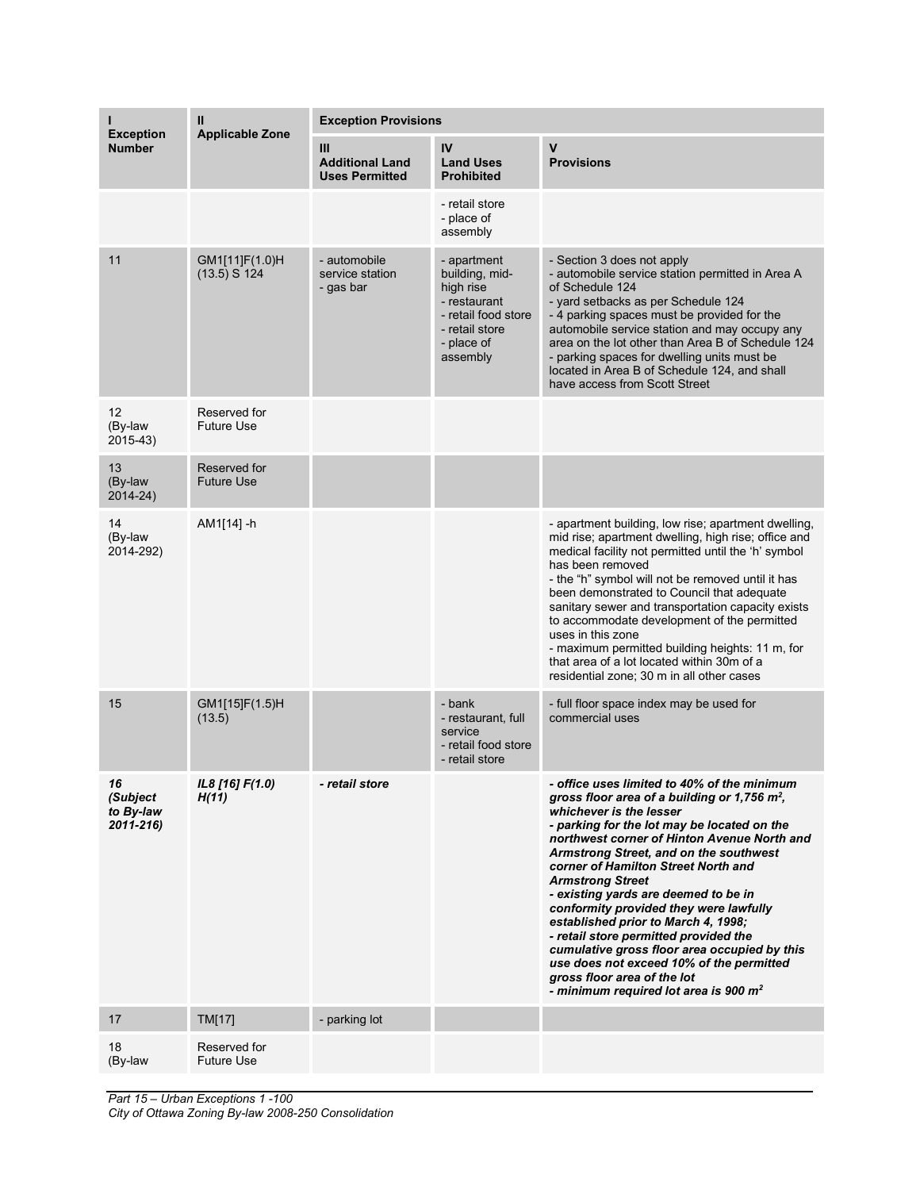| <b>Exception</b>                         | Ш<br><b>Applicable Zone</b>       | <b>Exception Provisions</b>                          |                                                                                                                               |                                                                                                                                                                                                                                                                                                                                                                                                                                                                                                                                                                                                                                                                                      |  |
|------------------------------------------|-----------------------------------|------------------------------------------------------|-------------------------------------------------------------------------------------------------------------------------------|--------------------------------------------------------------------------------------------------------------------------------------------------------------------------------------------------------------------------------------------------------------------------------------------------------------------------------------------------------------------------------------------------------------------------------------------------------------------------------------------------------------------------------------------------------------------------------------------------------------------------------------------------------------------------------------|--|
| <b>Number</b>                            |                                   | Ш<br><b>Additional Land</b><br><b>Uses Permitted</b> | IV<br><b>Land Uses</b><br><b>Prohibited</b>                                                                                   | $\mathbf v$<br><b>Provisions</b>                                                                                                                                                                                                                                                                                                                                                                                                                                                                                                                                                                                                                                                     |  |
|                                          |                                   |                                                      | - retail store<br>- place of<br>assembly                                                                                      |                                                                                                                                                                                                                                                                                                                                                                                                                                                                                                                                                                                                                                                                                      |  |
| 11                                       | GM1[11]F(1.0)H<br>$(13.5)$ S 124  | - automobile<br>service station<br>- gas bar         | - apartment<br>building, mid-<br>high rise<br>- restaurant<br>- retail food store<br>- retail store<br>- place of<br>assembly | - Section 3 does not apply<br>- automobile service station permitted in Area A<br>of Schedule 124<br>- yard setbacks as per Schedule 124<br>- 4 parking spaces must be provided for the<br>automobile service station and may occupy any<br>area on the lot other than Area B of Schedule 124<br>- parking spaces for dwelling units must be<br>located in Area B of Schedule 124, and shall<br>have access from Scott Street                                                                                                                                                                                                                                                        |  |
| 12<br>(By-law<br>2015-43)                | Reserved for<br><b>Future Use</b> |                                                      |                                                                                                                               |                                                                                                                                                                                                                                                                                                                                                                                                                                                                                                                                                                                                                                                                                      |  |
| 13<br>(By-law<br>2014-24)                | Reserved for<br>Future Use        |                                                      |                                                                                                                               |                                                                                                                                                                                                                                                                                                                                                                                                                                                                                                                                                                                                                                                                                      |  |
| 14<br>(By-law<br>2014-292)               | AM1[14] -h                        |                                                      |                                                                                                                               | - apartment building, low rise; apartment dwelling,<br>mid rise; apartment dwelling, high rise; office and<br>medical facility not permitted until the 'h' symbol<br>has been removed<br>- the "h" symbol will not be removed until it has<br>been demonstrated to Council that adequate<br>sanitary sewer and transportation capacity exists<br>to accommodate development of the permitted<br>uses in this zone<br>- maximum permitted building heights: 11 m, for<br>that area of a lot located within 30m of a<br>residential zone; 30 m in all other cases                                                                                                                      |  |
| 15                                       | GM1[15]F(1.5)H<br>(13.5)          |                                                      | - bank<br>- restaurant, full<br>service<br>- retail food store<br>- retail store                                              | - full floor space index may be used for<br>commercial uses                                                                                                                                                                                                                                                                                                                                                                                                                                                                                                                                                                                                                          |  |
| 76<br>(Subject<br>to By-law<br>2011-216) | IL8 [16] F(1.0)<br>H(11)          | <i>- retail store</i>                                |                                                                                                                               | - office uses limited to 40% of the minimum<br>gross floor area of a building or 1,756 m <sup>2</sup> ,<br>whichever is the lesser<br>- parking for the lot may be located on the<br>northwest corner of Hinton Avenue North and<br>Armstrong Street, and on the southwest<br>corner of Hamilton Street North and<br><b>Armstrong Street</b><br>- existing yards are deemed to be in<br>conformity provided they were lawfully<br>established prior to March 4, 1998;<br>- retail store permitted provided the<br>cumulative gross floor area occupied by this<br>use does not exceed 10% of the permitted<br>gross floor area of the lot<br>- minimum required lot area is 900 $m2$ |  |
| 17                                       | TM[17]                            | - parking lot                                        |                                                                                                                               |                                                                                                                                                                                                                                                                                                                                                                                                                                                                                                                                                                                                                                                                                      |  |
| 18<br>(By-law                            | Reserved for<br><b>Future Use</b> |                                                      |                                                                                                                               |                                                                                                                                                                                                                                                                                                                                                                                                                                                                                                                                                                                                                                                                                      |  |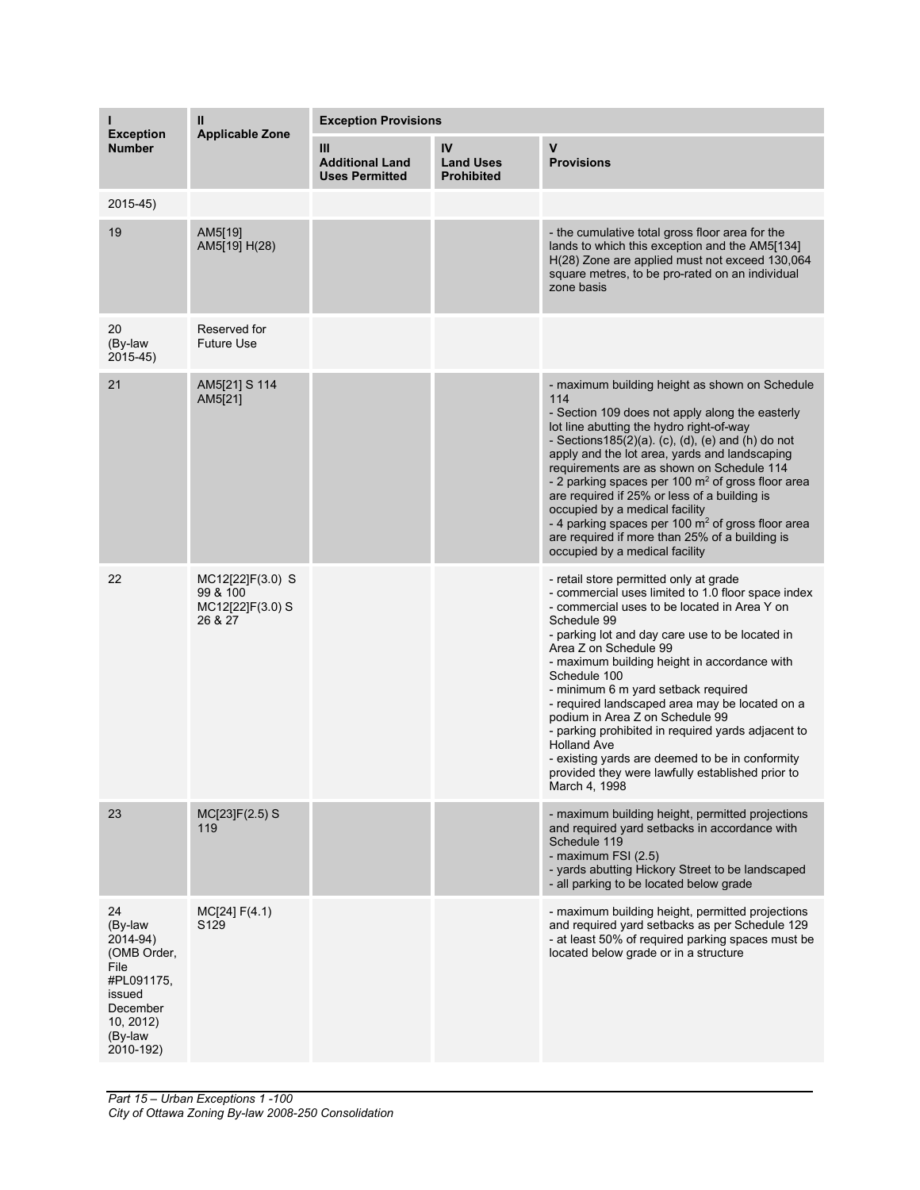|                                                                                                                           | Ш<br><b>Applicable Zone</b>                                 | <b>Exception Provisions</b>                          |                                             |                                                                                                                                                                                                                                                                                                                                                                                                                                                                                                                                                                                                                                         |  |
|---------------------------------------------------------------------------------------------------------------------------|-------------------------------------------------------------|------------------------------------------------------|---------------------------------------------|-----------------------------------------------------------------------------------------------------------------------------------------------------------------------------------------------------------------------------------------------------------------------------------------------------------------------------------------------------------------------------------------------------------------------------------------------------------------------------------------------------------------------------------------------------------------------------------------------------------------------------------------|--|
| <b>Exception</b><br><b>Number</b>                                                                                         |                                                             | Ш<br><b>Additional Land</b><br><b>Uses Permitted</b> | IV<br><b>Land Uses</b><br><b>Prohibited</b> | $\mathsf{V}$<br><b>Provisions</b>                                                                                                                                                                                                                                                                                                                                                                                                                                                                                                                                                                                                       |  |
| $2015-45$                                                                                                                 |                                                             |                                                      |                                             |                                                                                                                                                                                                                                                                                                                                                                                                                                                                                                                                                                                                                                         |  |
| 19                                                                                                                        | AM5[19]<br>AM5[19] H(28)                                    |                                                      |                                             | - the cumulative total gross floor area for the<br>lands to which this exception and the AM5[134]<br>H(28) Zone are applied must not exceed 130,064<br>square metres, to be pro-rated on an individual<br>zone basis                                                                                                                                                                                                                                                                                                                                                                                                                    |  |
| 20<br>(By-law<br>2015-45)                                                                                                 | Reserved for<br><b>Future Use</b>                           |                                                      |                                             |                                                                                                                                                                                                                                                                                                                                                                                                                                                                                                                                                                                                                                         |  |
| 21                                                                                                                        | AM5[21] S 114<br>AM5[21]                                    |                                                      |                                             | - maximum building height as shown on Schedule<br>114<br>- Section 109 does not apply along the easterly<br>lot line abutting the hydro right-of-way<br>- Sections $185(2)(a)$ . (c), (d), (e) and (h) do not<br>apply and the lot area, yards and landscaping<br>requirements are as shown on Schedule 114<br>- 2 parking spaces per 100 $m2$ of gross floor area<br>are required if 25% or less of a building is<br>occupied by a medical facility<br>- 4 parking spaces per 100 $\mathrm{m}^2$ of gross floor area<br>are required if more than 25% of a building is<br>occupied by a medical facility                               |  |
| 22                                                                                                                        | MC12[22]F(3.0) S<br>99 & 100<br>MC12[22]F(3.0) S<br>26 & 27 |                                                      |                                             | - retail store permitted only at grade<br>- commercial uses limited to 1.0 floor space index<br>- commercial uses to be located in Area Y on<br>Schedule 99<br>- parking lot and day care use to be located in<br>Area Z on Schedule 99<br>- maximum building height in accordance with<br>Schedule 100<br>- minimum 6 m yard setback required<br>- required landscaped area may be located on a<br>podium in Area Z on Schedule 99<br>- parking prohibited in required yards adjacent to<br><b>Holland Ave</b><br>- existing yards are deemed to be in conformity<br>provided they were lawfully established prior to<br>March 4, 1998 |  |
| 23                                                                                                                        | MC[23]F(2.5) S<br>119                                       |                                                      |                                             | - maximum building height, permitted projections<br>and required yard setbacks in accordance with<br>Schedule 119<br>- maximum FSI (2.5)<br>- yards abutting Hickory Street to be landscaped<br>- all parking to be located below grade                                                                                                                                                                                                                                                                                                                                                                                                 |  |
| 24<br>(By-law<br>2014-94)<br>(OMB Order,<br>File<br>#PL091175,<br>issued<br>December<br>10, 2012)<br>(By-law<br>2010-192) | MC[24] F(4.1)<br>S129                                       |                                                      |                                             | - maximum building height, permitted projections<br>and required yard setbacks as per Schedule 129<br>- at least 50% of required parking spaces must be<br>located below grade or in a structure                                                                                                                                                                                                                                                                                                                                                                                                                                        |  |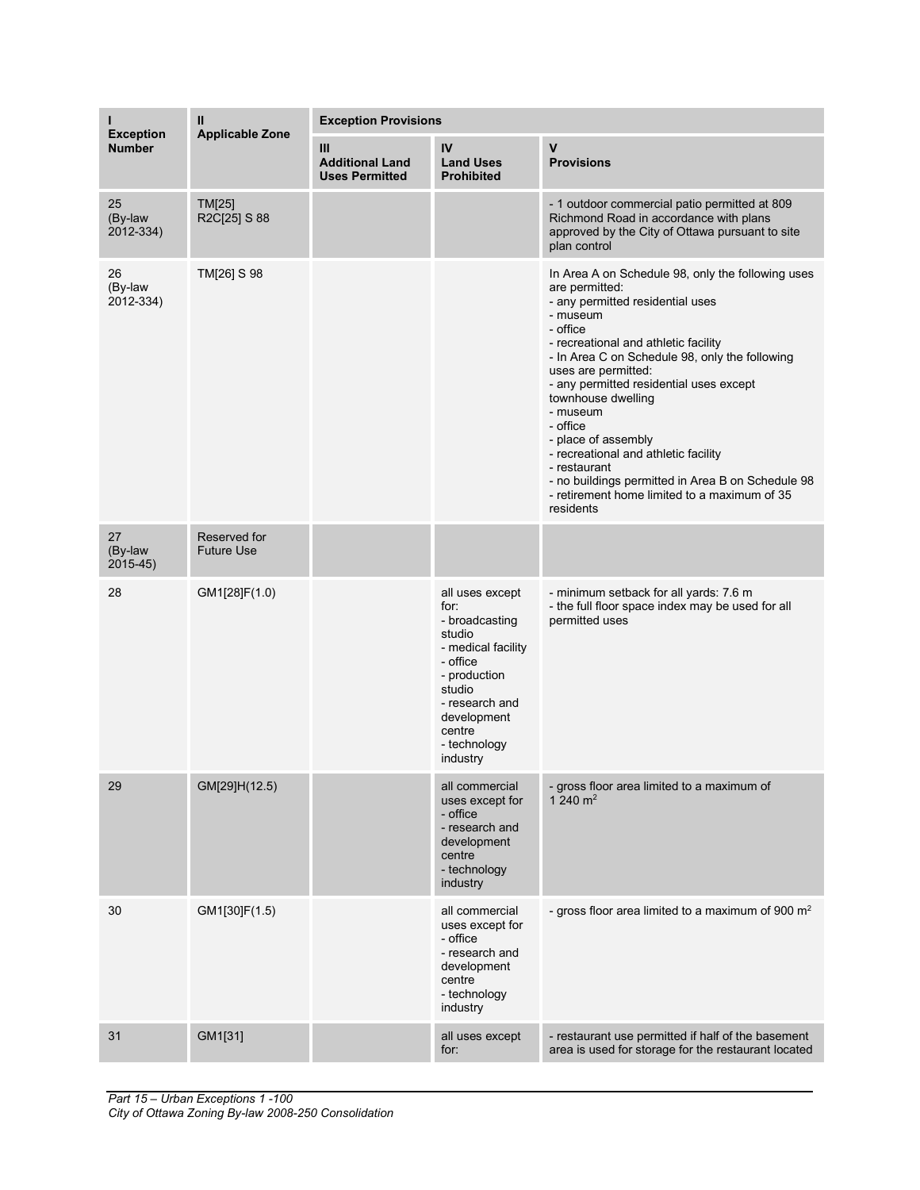| ı<br><b>Exception</b>        | Ш<br><b>Applicable Zone</b>       | <b>Exception Provisions</b>                          |                                                                                                                                                                                        |                                                                                                                                                                                                                                                                                                                                                                                                                                                                                                                                            |  |
|------------------------------|-----------------------------------|------------------------------------------------------|----------------------------------------------------------------------------------------------------------------------------------------------------------------------------------------|--------------------------------------------------------------------------------------------------------------------------------------------------------------------------------------------------------------------------------------------------------------------------------------------------------------------------------------------------------------------------------------------------------------------------------------------------------------------------------------------------------------------------------------------|--|
| <b>Number</b>                |                                   | Ш<br><b>Additional Land</b><br><b>Uses Permitted</b> | IV<br><b>Land Uses</b><br><b>Prohibited</b>                                                                                                                                            | $\mathsf{v}$<br><b>Provisions</b>                                                                                                                                                                                                                                                                                                                                                                                                                                                                                                          |  |
| 25<br>(By-law<br>2012-334)   | <b>TM[25]</b><br>R2C[25] S 88     |                                                      |                                                                                                                                                                                        | - 1 outdoor commercial patio permitted at 809<br>Richmond Road in accordance with plans<br>approved by the City of Ottawa pursuant to site<br>plan control                                                                                                                                                                                                                                                                                                                                                                                 |  |
| 26<br>(By-law<br>2012-334)   | TM[26] S 98                       |                                                      |                                                                                                                                                                                        | In Area A on Schedule 98, only the following uses<br>are permitted:<br>- any permitted residential uses<br>- museum<br>- office<br>- recreational and athletic facility<br>- In Area C on Schedule 98, only the following<br>uses are permitted:<br>- any permitted residential uses except<br>townhouse dwelling<br>- museum<br>- office<br>- place of assembly<br>- recreational and athletic facility<br>- restaurant<br>- no buildings permitted in Area B on Schedule 98<br>- retirement home limited to a maximum of 35<br>residents |  |
| 27<br>(By-law<br>$2015 - 45$ | Reserved for<br><b>Future Use</b> |                                                      |                                                                                                                                                                                        |                                                                                                                                                                                                                                                                                                                                                                                                                                                                                                                                            |  |
| 28                           | GM1[28]F(1.0)                     |                                                      | all uses except<br>for:<br>- broadcasting<br>studio<br>- medical facility<br>- office<br>- production<br>studio<br>- research and<br>development<br>centre<br>- technology<br>industry | - minimum setback for all yards: 7.6 m<br>- the full floor space index may be used for all<br>permitted uses                                                                                                                                                                                                                                                                                                                                                                                                                               |  |
| 29                           | GM[29]H(12.5)                     |                                                      | all commercial<br>uses except for<br>- office<br>- research and<br>development<br>centre<br>- technology<br>industry                                                                   | - gross floor area limited to a maximum of<br>1 240 $m2$                                                                                                                                                                                                                                                                                                                                                                                                                                                                                   |  |
| 30                           | GM1[30]F(1.5)                     |                                                      | all commercial<br>uses except for<br>- office<br>- research and<br>development<br>centre<br>- technology<br>industry                                                                   | - gross floor area limited to a maximum of 900 $m2$                                                                                                                                                                                                                                                                                                                                                                                                                                                                                        |  |
| 31                           | GM1[31]                           |                                                      | all uses except<br>for:                                                                                                                                                                | - restaurant use permitted if half of the basement<br>area is used for storage for the restaurant located                                                                                                                                                                                                                                                                                                                                                                                                                                  |  |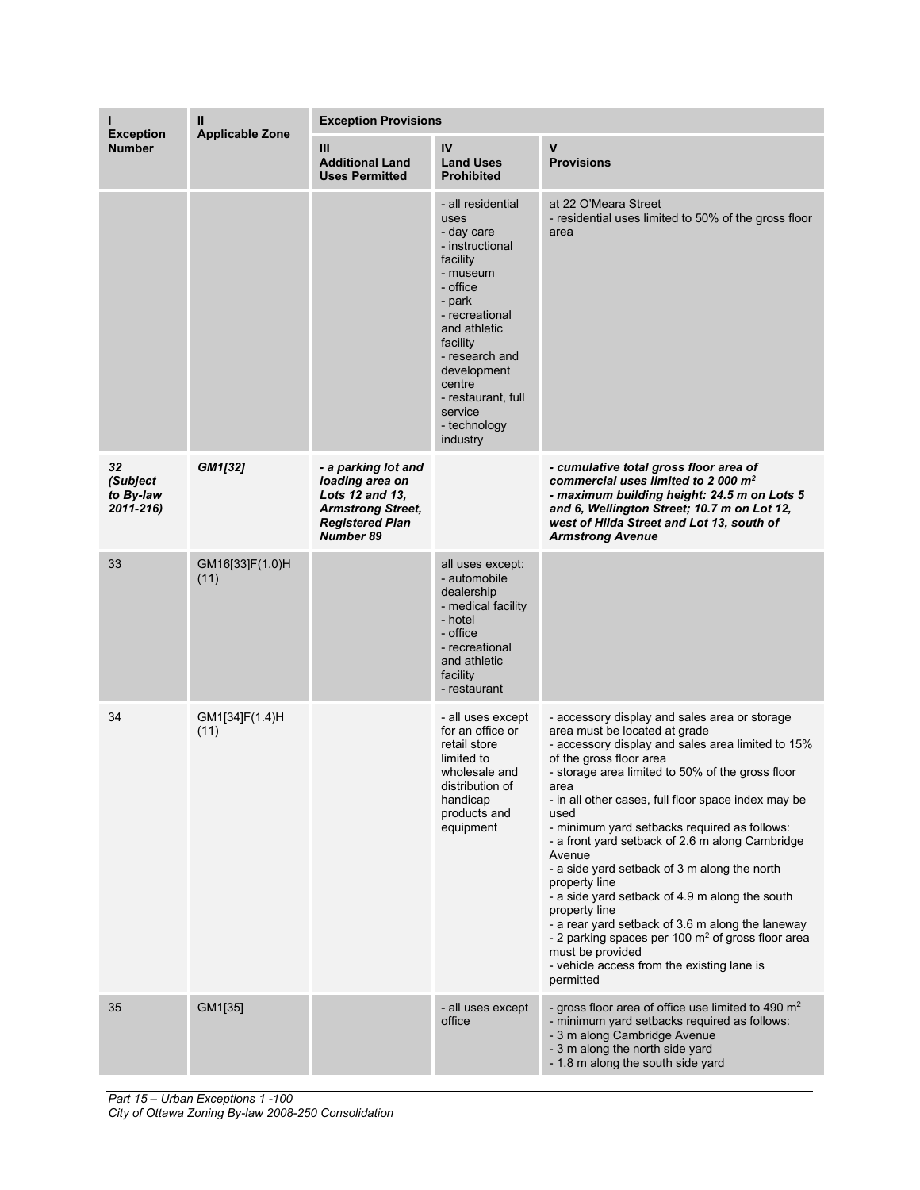| <b>Exception</b>                            | Ш<br><b>Applicable Zone</b> | <b>Exception Provisions</b>                                                                                                         |                                                                                                                                                                                                                                                                |                                                                                                                                                                                                                                                                                                                                                                                                                                                                                                                                                                                                                                                                                                                                                |  |
|---------------------------------------------|-----------------------------|-------------------------------------------------------------------------------------------------------------------------------------|----------------------------------------------------------------------------------------------------------------------------------------------------------------------------------------------------------------------------------------------------------------|------------------------------------------------------------------------------------------------------------------------------------------------------------------------------------------------------------------------------------------------------------------------------------------------------------------------------------------------------------------------------------------------------------------------------------------------------------------------------------------------------------------------------------------------------------------------------------------------------------------------------------------------------------------------------------------------------------------------------------------------|--|
| <b>Number</b>                               |                             | Ш<br><b>Additional Land</b><br><b>Uses Permitted</b>                                                                                | IV<br><b>Land Uses</b><br><b>Prohibited</b>                                                                                                                                                                                                                    | $\mathsf{V}$<br><b>Provisions</b>                                                                                                                                                                                                                                                                                                                                                                                                                                                                                                                                                                                                                                                                                                              |  |
|                                             |                             |                                                                                                                                     | - all residential<br>uses<br>- day care<br>- instructional<br>facility<br>- museum<br>- office<br>- park<br>- recreational<br>and athletic<br>facility<br>- research and<br>development<br>centre<br>- restaurant, full<br>service<br>- technology<br>industry | at 22 O'Meara Street<br>- residential uses limited to 50% of the gross floor<br>area                                                                                                                                                                                                                                                                                                                                                                                                                                                                                                                                                                                                                                                           |  |
| 32<br>(Subject<br>to By-law<br>$2011 - 216$ | GM1[32]                     | - a parking lot and<br>loading area on<br>Lots 12 and 13,<br><b>Armstrong Street,</b><br><b>Registered Plan</b><br><b>Number 89</b> |                                                                                                                                                                                                                                                                | - cumulative total gross floor area of<br>commercial uses limited to 2 000 m <sup>2</sup><br>- maximum building height: 24.5 m on Lots 5<br>and 6, Wellington Street; 10.7 m on Lot 12,<br>west of Hilda Street and Lot 13, south of<br><b>Armstrong Avenue</b>                                                                                                                                                                                                                                                                                                                                                                                                                                                                                |  |
| 33                                          | GM16[33]F(1.0)H<br>(11)     |                                                                                                                                     | all uses except:<br>- automobile<br>dealership<br>- medical facility<br>- hotel<br>- office<br>- recreational<br>and athletic<br>facility<br>- restaurant                                                                                                      |                                                                                                                                                                                                                                                                                                                                                                                                                                                                                                                                                                                                                                                                                                                                                |  |
| 34                                          | GM1[34]F(1.4)H<br>(11)      |                                                                                                                                     | - all uses except<br>for an office or<br>retail store<br>limited to<br>wholesale and<br>distribution of<br>handicap<br>products and<br>equipment                                                                                                               | - accessory display and sales area or storage<br>area must be located at grade<br>- accessory display and sales area limited to 15%<br>of the gross floor area<br>- storage area limited to 50% of the gross floor<br>area<br>- in all other cases, full floor space index may be<br>used<br>- minimum yard setbacks required as follows:<br>- a front yard setback of 2.6 m along Cambridge<br>Avenue<br>- a side yard setback of 3 m along the north<br>property line<br>- a side yard setback of 4.9 m along the south<br>property line<br>- a rear yard setback of 3.6 m along the laneway<br>- 2 parking spaces per 100 $\mathrm{m}^2$ of gross floor area<br>must be provided<br>- vehicle access from the existing lane is<br>permitted |  |
| 35                                          | GM1[35]                     |                                                                                                                                     | - all uses except<br>office                                                                                                                                                                                                                                    | - gross floor area of office use limited to 490 $m2$<br>- minimum yard setbacks required as follows:<br>- 3 m along Cambridge Avenue<br>- 3 m along the north side yard<br>- 1.8 m along the south side yard                                                                                                                                                                                                                                                                                                                                                                                                                                                                                                                                   |  |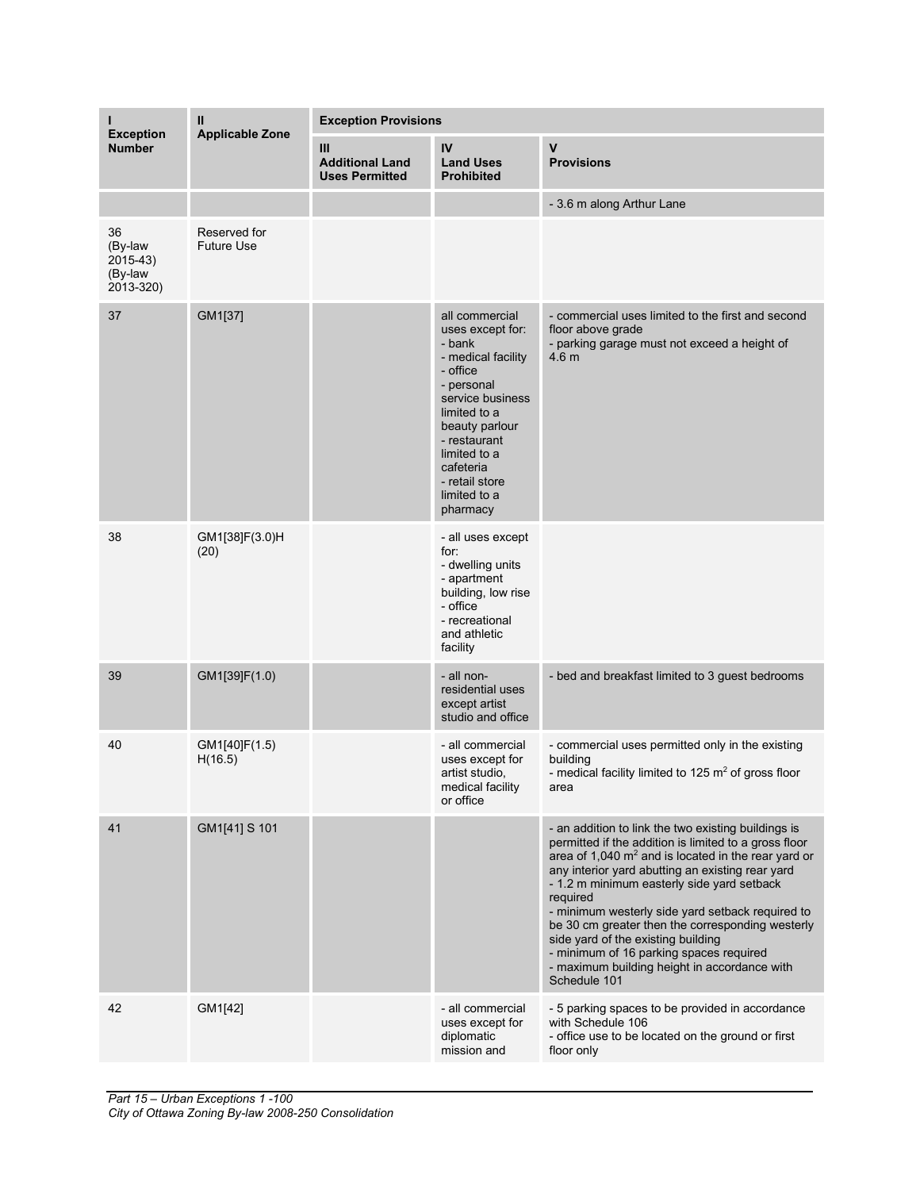| н<br><b>Exception</b>                              | $\mathbf{I}$                      | <b>Exception Provisions</b>                            |                                                                                                                                                                                                                                               |                                                                                                                                                                                                                                                                                                                                                                                                                                                                                                                                               |  |
|----------------------------------------------------|-----------------------------------|--------------------------------------------------------|-----------------------------------------------------------------------------------------------------------------------------------------------------------------------------------------------------------------------------------------------|-----------------------------------------------------------------------------------------------------------------------------------------------------------------------------------------------------------------------------------------------------------------------------------------------------------------------------------------------------------------------------------------------------------------------------------------------------------------------------------------------------------------------------------------------|--|
| <b>Number</b>                                      | <b>Applicable Zone</b>            | III<br><b>Additional Land</b><br><b>Uses Permitted</b> | IV<br><b>Land Uses</b><br><b>Prohibited</b>                                                                                                                                                                                                   | $\mathbf v$<br><b>Provisions</b>                                                                                                                                                                                                                                                                                                                                                                                                                                                                                                              |  |
|                                                    |                                   |                                                        |                                                                                                                                                                                                                                               | - 3.6 m along Arthur Lane                                                                                                                                                                                                                                                                                                                                                                                                                                                                                                                     |  |
| 36<br>(By-law<br>$2015-43$<br>(By-law<br>2013-320) | Reserved for<br><b>Future Use</b> |                                                        |                                                                                                                                                                                                                                               |                                                                                                                                                                                                                                                                                                                                                                                                                                                                                                                                               |  |
| 37                                                 | GM1[37]                           |                                                        | all commercial<br>uses except for:<br>- bank<br>- medical facility<br>- office<br>- personal<br>service business<br>limited to a<br>beauty parlour<br>- restaurant<br>limited to a<br>cafeteria<br>- retail store<br>limited to a<br>pharmacy | - commercial uses limited to the first and second<br>floor above grade<br>- parking garage must not exceed a height of<br>4.6 <sub>m</sub>                                                                                                                                                                                                                                                                                                                                                                                                    |  |
| 38                                                 | GM1[38]F(3.0)H<br>(20)            |                                                        | - all uses except<br>for:<br>- dwelling units<br>- apartment<br>building, low rise<br>- office<br>- recreational<br>and athletic<br>facility                                                                                                  |                                                                                                                                                                                                                                                                                                                                                                                                                                                                                                                                               |  |
| 39                                                 | GM1[39]F(1.0)                     |                                                        | - all non-<br>residential uses<br>except artist<br>studio and office                                                                                                                                                                          | - bed and breakfast limited to 3 guest bedrooms                                                                                                                                                                                                                                                                                                                                                                                                                                                                                               |  |
| 40                                                 | GM1[40]F(1.5)<br>H(16.5)          |                                                        | - all commercial<br>uses except for<br>artist studio,<br>medical facility<br>or office                                                                                                                                                        | - commercial uses permitted only in the existing<br>building<br>- medical facility limited to 125 m <sup>2</sup> of gross floor<br>area                                                                                                                                                                                                                                                                                                                                                                                                       |  |
| 41                                                 | GM1[41] S 101                     |                                                        |                                                                                                                                                                                                                                               | - an addition to link the two existing buildings is<br>permitted if the addition is limited to a gross floor<br>area of 1,040 $m^2$ and is located in the rear yard or<br>any interior yard abutting an existing rear yard<br>- 1.2 m minimum easterly side yard setback<br>required<br>- minimum westerly side yard setback required to<br>be 30 cm greater then the corresponding westerly<br>side yard of the existing building<br>- minimum of 16 parking spaces required<br>- maximum building height in accordance with<br>Schedule 101 |  |
| 42                                                 | GM1[42]                           |                                                        | - all commercial<br>uses except for<br>diplomatic<br>mission and                                                                                                                                                                              | - 5 parking spaces to be provided in accordance<br>with Schedule 106<br>- office use to be located on the ground or first<br>floor only                                                                                                                                                                                                                                                                                                                                                                                                       |  |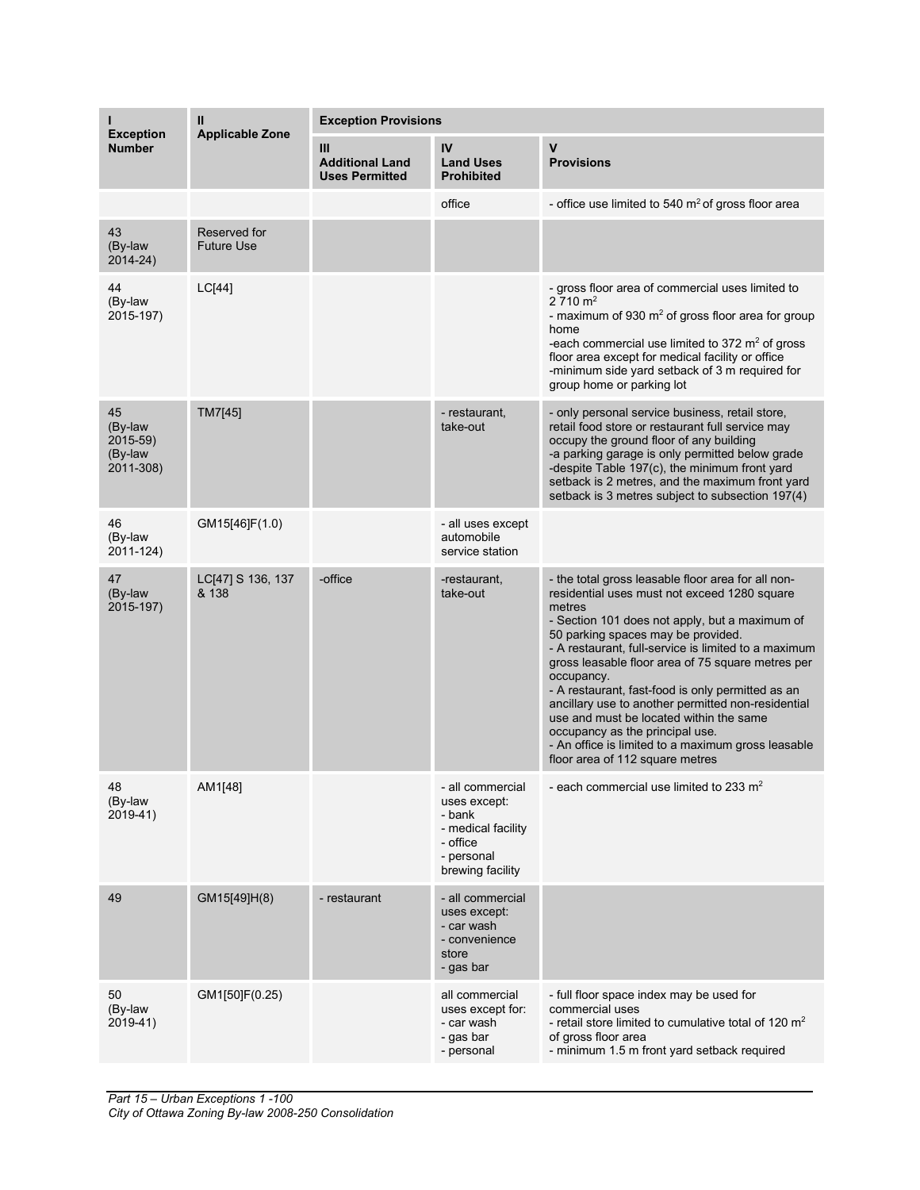|                                                   | Ш<br><b>Applicable Zone</b>       | <b>Exception Provisions</b>                          |                                                                                                                |                                                                                                                                                                                                                                                                                                                                                                                                                                                                                                                                                                                                                   |  |
|---------------------------------------------------|-----------------------------------|------------------------------------------------------|----------------------------------------------------------------------------------------------------------------|-------------------------------------------------------------------------------------------------------------------------------------------------------------------------------------------------------------------------------------------------------------------------------------------------------------------------------------------------------------------------------------------------------------------------------------------------------------------------------------------------------------------------------------------------------------------------------------------------------------------|--|
| <b>Exception</b><br><b>Number</b>                 |                                   | Ш<br><b>Additional Land</b><br><b>Uses Permitted</b> | IV<br><b>Land Uses</b><br><b>Prohibited</b>                                                                    | $\mathbf v$<br><b>Provisions</b>                                                                                                                                                                                                                                                                                                                                                                                                                                                                                                                                                                                  |  |
|                                                   |                                   |                                                      | office                                                                                                         | - office use limited to 540 $m2$ of gross floor area                                                                                                                                                                                                                                                                                                                                                                                                                                                                                                                                                              |  |
| 43<br>(By-law<br>2014-24)                         | Reserved for<br><b>Future Use</b> |                                                      |                                                                                                                |                                                                                                                                                                                                                                                                                                                                                                                                                                                                                                                                                                                                                   |  |
| 44<br>(By-law<br>2015-197)                        | LC[44]                            |                                                      |                                                                                                                | - gross floor area of commercial uses limited to<br>$2710 \text{ m}^2$<br>- maximum of 930 $m2$ of gross floor area for group<br>home<br>-each commercial use limited to 372 $m2$ of gross<br>floor area except for medical facility or office<br>-minimum side yard setback of 3 m required for<br>group home or parking lot                                                                                                                                                                                                                                                                                     |  |
| 45<br>(By-law<br>2015-59)<br>(By-law<br>2011-308) | TM7[45]                           |                                                      | - restaurant,<br>take-out                                                                                      | - only personal service business, retail store,<br>retail food store or restaurant full service may<br>occupy the ground floor of any building<br>-a parking garage is only permitted below grade<br>-despite Table 197(c), the minimum front yard<br>setback is 2 metres, and the maximum front yard<br>setback is 3 metres subject to subsection 197(4)                                                                                                                                                                                                                                                         |  |
| 46<br>(By-law<br>2011-124)                        | GM15[46]F(1.0)                    |                                                      | - all uses except<br>automobile<br>service station                                                             |                                                                                                                                                                                                                                                                                                                                                                                                                                                                                                                                                                                                                   |  |
| 47<br>(By-law<br>2015-197)                        | LC[47] S 136, 137<br>& 138        | -office                                              | -restaurant,<br>take-out                                                                                       | - the total gross leasable floor area for all non-<br>residential uses must not exceed 1280 square<br>metres<br>- Section 101 does not apply, but a maximum of<br>50 parking spaces may be provided.<br>- A restaurant, full-service is limited to a maximum<br>gross leasable floor area of 75 square metres per<br>occupancy.<br>- A restaurant, fast-food is only permitted as an<br>ancillary use to another permitted non-residential<br>use and must be located within the same<br>occupancy as the principal use.<br>- An office is limited to a maximum gross leasable<br>floor area of 112 square metres |  |
| 48<br>(By-law<br>2019-41)                         | AM1[48]                           |                                                      | - all commercial<br>uses except:<br>- bank<br>- medical facility<br>- office<br>- personal<br>brewing facility | - each commercial use limited to 233 $m2$                                                                                                                                                                                                                                                                                                                                                                                                                                                                                                                                                                         |  |
| 49                                                | GM15[49]H(8)                      | - restaurant                                         | - all commercial<br>uses except:<br>- car wash<br>- convenience<br>store<br>- gas bar                          |                                                                                                                                                                                                                                                                                                                                                                                                                                                                                                                                                                                                                   |  |
| 50<br>(By-law<br>2019-41)                         | GM1[50]F(0.25)                    |                                                      | all commercial<br>uses except for:<br>- car wash<br>- gas bar<br>- personal                                    | - full floor space index may be used for<br>commercial uses<br>- retail store limited to cumulative total of 120 $m2$<br>of gross floor area<br>- minimum 1.5 m front yard setback required                                                                                                                                                                                                                                                                                                                                                                                                                       |  |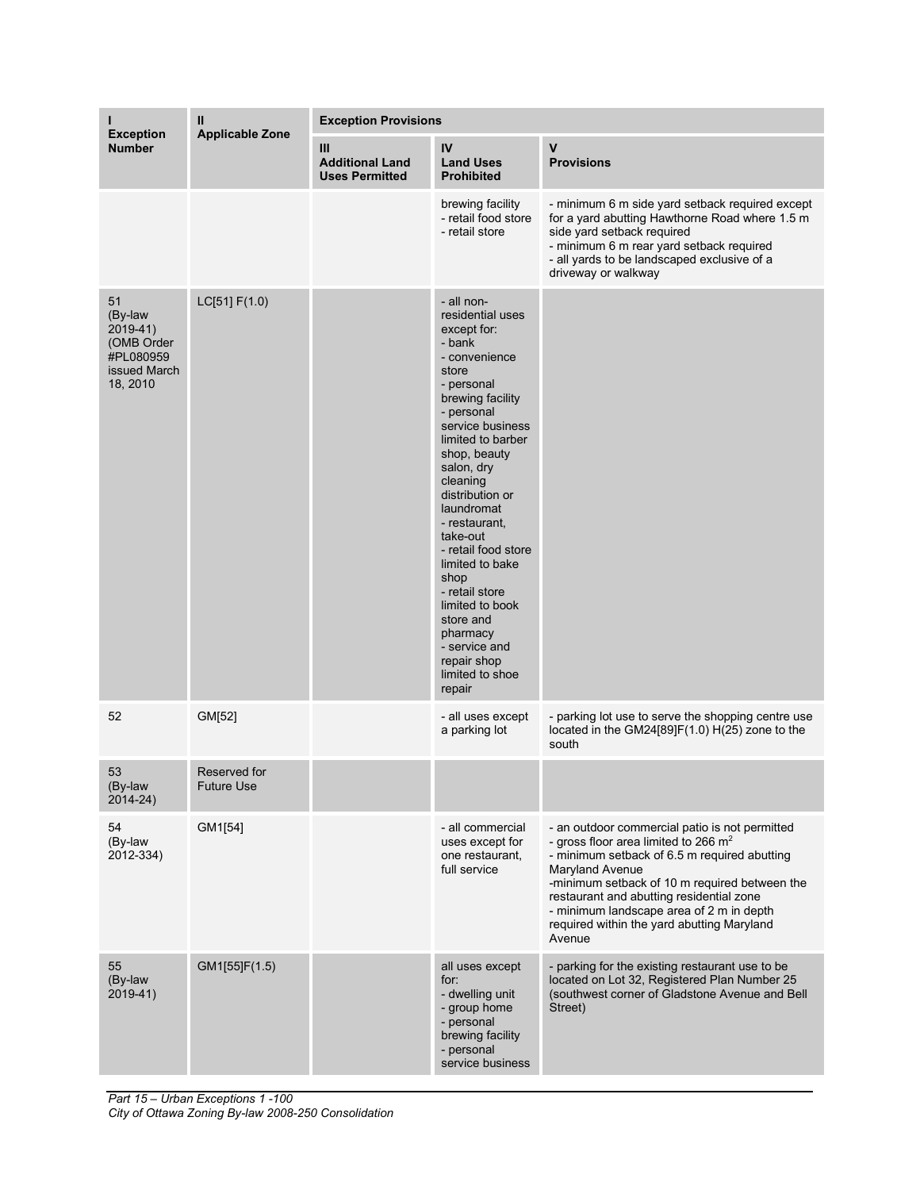| н                                                                                | Ш                                 | <b>Exception Provisions</b>                          |                                                                                                                                                                                                                                                                                                                                                                                                                                                                 |                                                                                                                                                                                                                                                                                                                                                              |  |
|----------------------------------------------------------------------------------|-----------------------------------|------------------------------------------------------|-----------------------------------------------------------------------------------------------------------------------------------------------------------------------------------------------------------------------------------------------------------------------------------------------------------------------------------------------------------------------------------------------------------------------------------------------------------------|--------------------------------------------------------------------------------------------------------------------------------------------------------------------------------------------------------------------------------------------------------------------------------------------------------------------------------------------------------------|--|
| <b>Exception</b><br><b>Number</b>                                                | <b>Applicable Zone</b>            | Ш<br><b>Additional Land</b><br><b>Uses Permitted</b> | IV<br><b>Land Uses</b><br><b>Prohibited</b>                                                                                                                                                                                                                                                                                                                                                                                                                     | $\mathsf{V}$<br><b>Provisions</b>                                                                                                                                                                                                                                                                                                                            |  |
|                                                                                  |                                   |                                                      | brewing facility<br>- retail food store<br>- retail store                                                                                                                                                                                                                                                                                                                                                                                                       | - minimum 6 m side yard setback required except<br>for a yard abutting Hawthorne Road where 1.5 m<br>side yard setback required<br>- minimum 6 m rear yard setback required<br>- all yards to be landscaped exclusive of a<br>driveway or walkway                                                                                                            |  |
| 51<br>(By-law<br>2019-41)<br>(OMB Order<br>#PL080959<br>issued March<br>18, 2010 | LC[51] F(1.0)                     |                                                      | - all non-<br>residential uses<br>except for:<br>- bank<br>- convenience<br>store<br>- personal<br>brewing facility<br>- personal<br>service business<br>limited to barber<br>shop, beauty<br>salon, dry<br>cleaning<br>distribution or<br>laundromat<br>- restaurant,<br>take-out<br>- retail food store<br>limited to bake<br>shop<br>- retail store<br>limited to book<br>store and<br>pharmacy<br>- service and<br>repair shop<br>limited to shoe<br>repair |                                                                                                                                                                                                                                                                                                                                                              |  |
| 52                                                                               | GM[52]                            |                                                      | - all uses except<br>a parking lot                                                                                                                                                                                                                                                                                                                                                                                                                              | - parking lot use to serve the shopping centre use<br>located in the GM24[89]F(1.0) H(25) zone to the<br>south                                                                                                                                                                                                                                               |  |
| 53<br>(By-law<br>$2014 - 24$                                                     | Reserved for<br><b>Future Use</b> |                                                      |                                                                                                                                                                                                                                                                                                                                                                                                                                                                 |                                                                                                                                                                                                                                                                                                                                                              |  |
| 54<br>(By-law<br>2012-334)                                                       | GM1[54]                           |                                                      | - all commercial<br>uses except for<br>one restaurant,<br>full service                                                                                                                                                                                                                                                                                                                                                                                          | - an outdoor commercial patio is not permitted<br>- gross floor area limited to 266 $m2$<br>- minimum setback of 6.5 m required abutting<br>Maryland Avenue<br>-minimum setback of 10 m required between the<br>restaurant and abutting residential zone<br>- minimum landscape area of 2 m in depth<br>required within the yard abutting Maryland<br>Avenue |  |
| 55<br>(By-law<br>$2019-41$                                                       | GM1[55]F(1.5)                     |                                                      | all uses except<br>for:<br>- dwelling unit<br>- group home<br>- personal<br>brewing facility<br>- personal<br>service business                                                                                                                                                                                                                                                                                                                                  | - parking for the existing restaurant use to be<br>located on Lot 32, Registered Plan Number 25<br>(southwest corner of Gladstone Avenue and Bell<br>Street)                                                                                                                                                                                                 |  |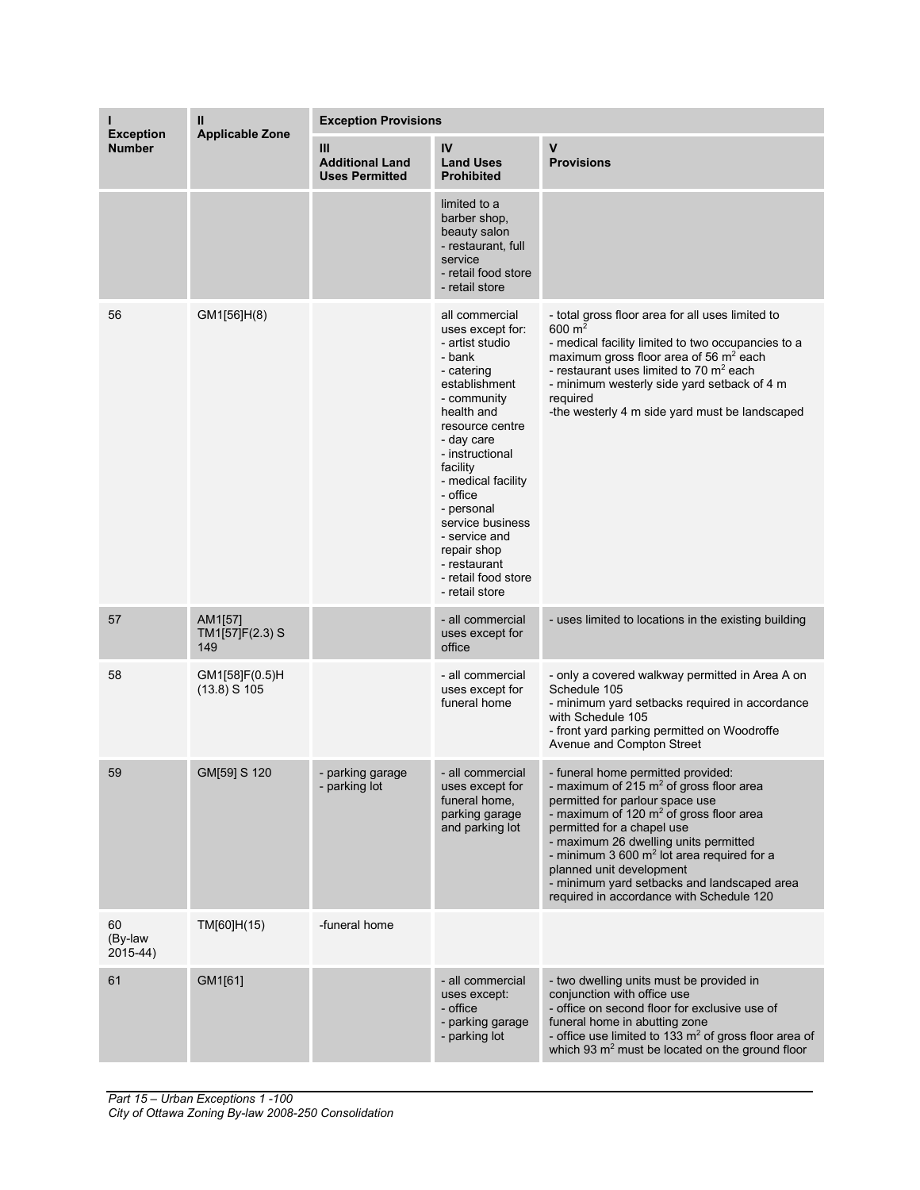|                                   | Ш                                 | <b>Exception Provisions</b>                          |                                                                                                                                                                                                                                                                                                                                                          |                                                                                                                                                                                                                                                                                                                                                                                                                       |  |
|-----------------------------------|-----------------------------------|------------------------------------------------------|----------------------------------------------------------------------------------------------------------------------------------------------------------------------------------------------------------------------------------------------------------------------------------------------------------------------------------------------------------|-----------------------------------------------------------------------------------------------------------------------------------------------------------------------------------------------------------------------------------------------------------------------------------------------------------------------------------------------------------------------------------------------------------------------|--|
| <b>Exception</b><br><b>Number</b> | <b>Applicable Zone</b>            | Ш<br><b>Additional Land</b><br><b>Uses Permitted</b> | IV<br><b>Land Uses</b><br><b>Prohibited</b>                                                                                                                                                                                                                                                                                                              | V<br><b>Provisions</b>                                                                                                                                                                                                                                                                                                                                                                                                |  |
|                                   |                                   |                                                      | limited to a<br>barber shop,<br>beauty salon<br>- restaurant, full<br>service<br>- retail food store<br>- retail store                                                                                                                                                                                                                                   |                                                                                                                                                                                                                                                                                                                                                                                                                       |  |
| 56                                | GM1[56]H(8)                       |                                                      | all commercial<br>uses except for:<br>- artist studio<br>- bank<br>- catering<br>establishment<br>- community<br>health and<br>resource centre<br>- day care<br>- instructional<br>facility<br>- medical facility<br>- office<br>- personal<br>service business<br>- service and<br>repair shop<br>- restaurant<br>- retail food store<br>- retail store | - total gross floor area for all uses limited to<br>600 $m2$<br>- medical facility limited to two occupancies to a<br>maximum gross floor area of 56 m <sup>2</sup> each<br>- restaurant uses limited to 70 $\mathrm{m}^2$ each<br>- minimum westerly side yard setback of 4 m<br>required<br>-the westerly 4 m side yard must be landscaped                                                                          |  |
| 57                                | AM1[57]<br>TM1[57]F(2.3) S<br>149 |                                                      | - all commercial<br>uses except for<br>office                                                                                                                                                                                                                                                                                                            | - uses limited to locations in the existing building                                                                                                                                                                                                                                                                                                                                                                  |  |
| 58                                | GM1[58]F(0.5)H<br>$(13.8)$ S 105  |                                                      | - all commercial<br>uses except for<br>funeral home                                                                                                                                                                                                                                                                                                      | - only a covered walkway permitted in Area A on<br>Schedule 105<br>- minimum yard setbacks required in accordance<br>with Schedule 105<br>- front yard parking permitted on Woodroffe<br>Avenue and Compton Street                                                                                                                                                                                                    |  |
| 59                                | GM[59] S 120                      | - parking garage<br>- parking lot                    | - all commercial<br>uses except for<br>funeral home,<br>parking garage<br>and parking lot                                                                                                                                                                                                                                                                | - funeral home permitted provided:<br>- maximum of 215 $m2$ of gross floor area<br>permitted for parlour space use<br>- maximum of 120 $m2$ of gross floor area<br>permitted for a chapel use<br>- maximum 26 dwelling units permitted<br>- minimum $3600 \text{ m}^2$ lot area required for a<br>planned unit development<br>- minimum yard setbacks and landscaped area<br>required in accordance with Schedule 120 |  |
| 60<br>(By-law<br>2015-44)         | TM[60]H(15)                       | -funeral home                                        |                                                                                                                                                                                                                                                                                                                                                          |                                                                                                                                                                                                                                                                                                                                                                                                                       |  |
| 61                                | GM1[61]                           |                                                      | - all commercial<br>uses except:<br>- office<br>- parking garage<br>- parking lot                                                                                                                                                                                                                                                                        | - two dwelling units must be provided in<br>conjunction with office use<br>- office on second floor for exclusive use of<br>funeral home in abutting zone<br>- office use limited to 133 $m2$ of gross floor area of<br>which 93 m <sup>2</sup> must be located on the ground floor                                                                                                                                   |  |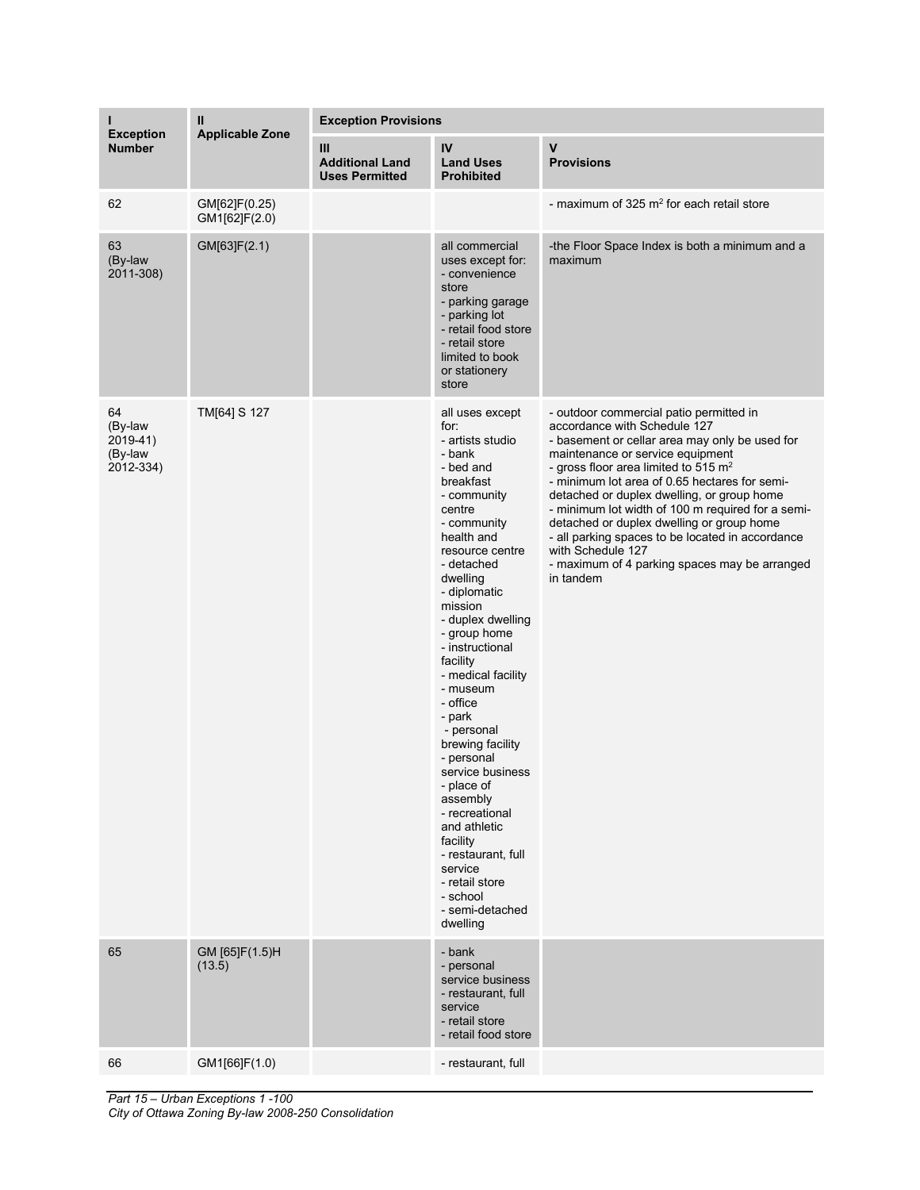| ı                                                 | Ш                              | <b>Exception Provisions</b>                          |                                                                                                                                                                                                                                                                                                                                                                                                                                                                                                                                                                                     |                                                                                                                                                                                                                                                                                                                                                                                                                                                                                                                                                 |  |
|---------------------------------------------------|--------------------------------|------------------------------------------------------|-------------------------------------------------------------------------------------------------------------------------------------------------------------------------------------------------------------------------------------------------------------------------------------------------------------------------------------------------------------------------------------------------------------------------------------------------------------------------------------------------------------------------------------------------------------------------------------|-------------------------------------------------------------------------------------------------------------------------------------------------------------------------------------------------------------------------------------------------------------------------------------------------------------------------------------------------------------------------------------------------------------------------------------------------------------------------------------------------------------------------------------------------|--|
| <b>Exception</b><br><b>Number</b>                 | <b>Applicable Zone</b>         | Ш<br><b>Additional Land</b><br><b>Uses Permitted</b> | IV<br><b>Land Uses</b><br><b>Prohibited</b>                                                                                                                                                                                                                                                                                                                                                                                                                                                                                                                                         | $\mathsf{v}$<br><b>Provisions</b>                                                                                                                                                                                                                                                                                                                                                                                                                                                                                                               |  |
| 62                                                | GM[62]F(0.25)<br>GM1[62]F(2.0) |                                                      |                                                                                                                                                                                                                                                                                                                                                                                                                                                                                                                                                                                     | - maximum of $325 \text{ m}^2$ for each retail store                                                                                                                                                                                                                                                                                                                                                                                                                                                                                            |  |
| 63<br>(By-law<br>2011-308)                        | GM[63]F(2.1)                   |                                                      | all commercial<br>uses except for:<br>- convenience<br>store<br>- parking garage<br>- parking lot<br>- retail food store<br>- retail store<br>limited to book<br>or stationery<br>store                                                                                                                                                                                                                                                                                                                                                                                             | -the Floor Space Index is both a minimum and a<br>maximum                                                                                                                                                                                                                                                                                                                                                                                                                                                                                       |  |
| 64<br>(By-law<br>2019-41)<br>(By-law<br>2012-334) | TM[64] S 127                   |                                                      | all uses except<br>for:<br>- artists studio<br>- bank<br>- bed and<br>breakfast<br>- community<br>centre<br>- community<br>health and<br>resource centre<br>- detached<br>dwelling<br>- diplomatic<br>mission<br>- duplex dwelling<br>- group home<br>- instructional<br>facility<br>- medical facility<br>- museum<br>- office<br>- park<br>- personal<br>brewing facility<br>- personal<br>service business<br>- place of<br>assembly<br>- recreational<br>and athletic<br>facility<br>- restaurant, full<br>service<br>- retail store<br>- school<br>- semi-detached<br>dwelling | - outdoor commercial patio permitted in<br>accordance with Schedule 127<br>- basement or cellar area may only be used for<br>maintenance or service equipment<br>- gross floor area limited to 515 $m2$<br>- minimum lot area of 0.65 hectares for semi-<br>detached or duplex dwelling, or group home<br>- minimum lot width of 100 m required for a semi-<br>detached or duplex dwelling or group home<br>- all parking spaces to be located in accordance<br>with Schedule 127<br>- maximum of 4 parking spaces may be arranged<br>in tandem |  |
| 65                                                | GM [65]F(1.5)H<br>(13.5)       |                                                      | - bank<br>- personal<br>service business<br>- restaurant, full<br>service<br>- retail store<br>- retail food store                                                                                                                                                                                                                                                                                                                                                                                                                                                                  |                                                                                                                                                                                                                                                                                                                                                                                                                                                                                                                                                 |  |
| 66                                                | GM1[66]F(1.0)                  |                                                      | - restaurant, full                                                                                                                                                                                                                                                                                                                                                                                                                                                                                                                                                                  |                                                                                                                                                                                                                                                                                                                                                                                                                                                                                                                                                 |  |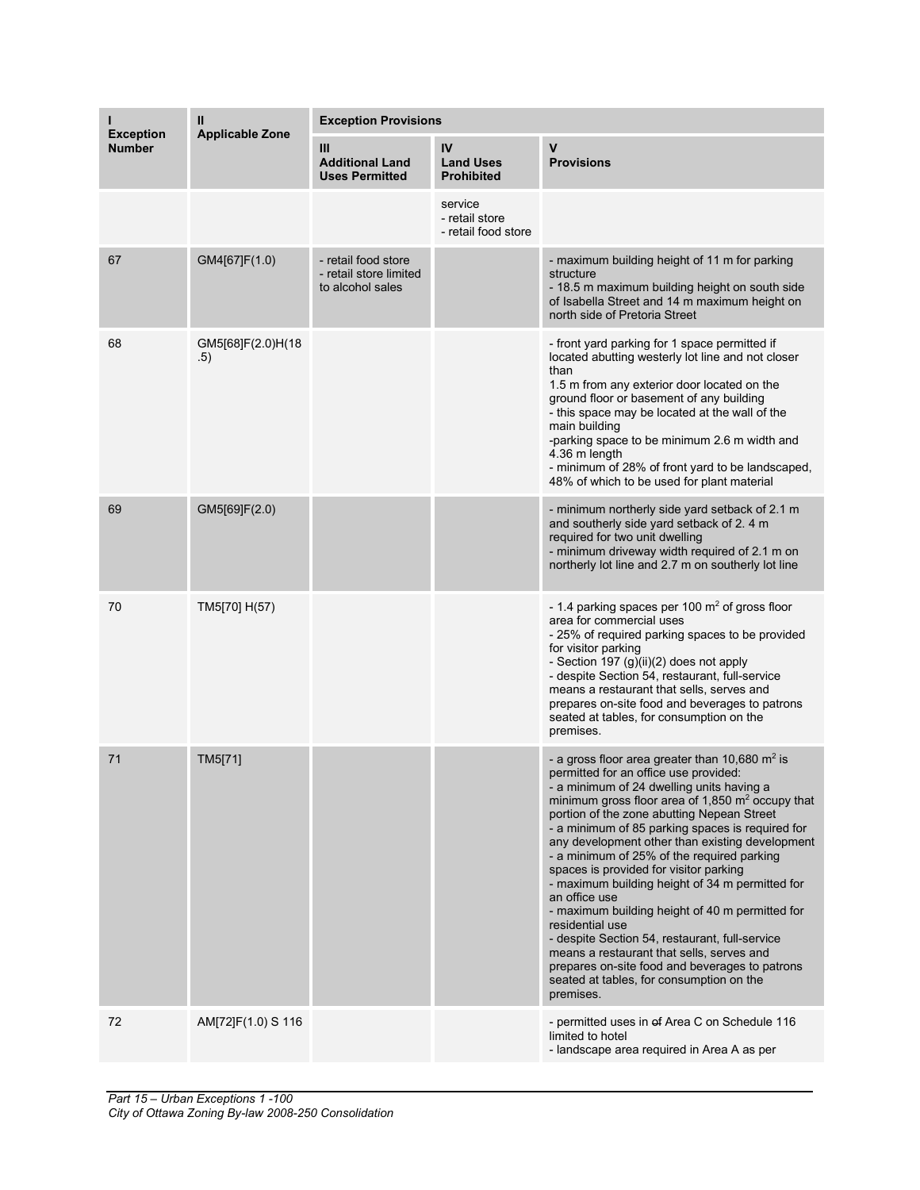|                                   | Ш                        | <b>Exception Provisions</b>                                       |                                                  |                                                                                                                                                                                                                                                                                                                                                                                                                                                                                                                                                                                                                                                                                                                                                                                                       |  |
|-----------------------------------|--------------------------|-------------------------------------------------------------------|--------------------------------------------------|-------------------------------------------------------------------------------------------------------------------------------------------------------------------------------------------------------------------------------------------------------------------------------------------------------------------------------------------------------------------------------------------------------------------------------------------------------------------------------------------------------------------------------------------------------------------------------------------------------------------------------------------------------------------------------------------------------------------------------------------------------------------------------------------------------|--|
| <b>Exception</b><br><b>Number</b> | <b>Applicable Zone</b>   | Ш<br><b>Additional Land</b><br><b>Uses Permitted</b>              | IV<br><b>Land Uses</b><br><b>Prohibited</b>      | V<br><b>Provisions</b>                                                                                                                                                                                                                                                                                                                                                                                                                                                                                                                                                                                                                                                                                                                                                                                |  |
|                                   |                          |                                                                   | service<br>- retail store<br>- retail food store |                                                                                                                                                                                                                                                                                                                                                                                                                                                                                                                                                                                                                                                                                                                                                                                                       |  |
| 67                                | GM4[67]F(1.0)            | - retail food store<br>- retail store limited<br>to alcohol sales |                                                  | - maximum building height of 11 m for parking<br>structure<br>- 18.5 m maximum building height on south side<br>of Isabella Street and 14 m maximum height on<br>north side of Pretoria Street                                                                                                                                                                                                                                                                                                                                                                                                                                                                                                                                                                                                        |  |
| 68                                | GM5[68]F(2.0)H(18<br>.5) |                                                                   |                                                  | - front yard parking for 1 space permitted if<br>located abutting westerly lot line and not closer<br>than<br>1.5 m from any exterior door located on the<br>ground floor or basement of any building<br>- this space may be located at the wall of the<br>main building<br>-parking space to be minimum 2.6 m width and<br>4.36 m length<br>- minimum of 28% of front yard to be landscaped,<br>48% of which to be used for plant material                                                                                                                                                                                                                                                                                                                                                           |  |
| 69                                | GM5[69]F(2.0)            |                                                                   |                                                  | - minimum northerly side yard setback of 2.1 m<br>and southerly side yard setback of 2.4 m<br>required for two unit dwelling<br>- minimum driveway width required of 2.1 m on<br>northerly lot line and 2.7 m on southerly lot line                                                                                                                                                                                                                                                                                                                                                                                                                                                                                                                                                                   |  |
| 70                                | TM5[70] H(57)            |                                                                   |                                                  | - 1.4 parking spaces per 100 m <sup>2</sup> of gross floor<br>area for commercial uses<br>- 25% of required parking spaces to be provided<br>for visitor parking<br>- Section 197 (g)(ii)(2) does not apply<br>- despite Section 54, restaurant, full-service<br>means a restaurant that sells, serves and<br>prepares on-site food and beverages to patrons<br>seated at tables, for consumption on the<br>premises.                                                                                                                                                                                                                                                                                                                                                                                 |  |
| 71                                | TM5[71]                  |                                                                   |                                                  | - a gross floor area greater than 10,680 $m2$ is<br>permitted for an office use provided:<br>- a minimum of 24 dwelling units having a<br>minimum gross floor area of 1,850 $\text{m}^2$ occupy that<br>portion of the zone abutting Nepean Street<br>- a minimum of 85 parking spaces is required for<br>any development other than existing development<br>- a minimum of 25% of the required parking<br>spaces is provided for visitor parking<br>- maximum building height of 34 m permitted for<br>an office use<br>- maximum building height of 40 m permitted for<br>residential use<br>- despite Section 54, restaurant, full-service<br>means a restaurant that sells, serves and<br>prepares on-site food and beverages to patrons<br>seated at tables, for consumption on the<br>premises. |  |
| 72                                | AM[72]F(1.0) S 116       |                                                                   |                                                  | - permitted uses in of Area C on Schedule 116<br>limited to hotel<br>- landscape area required in Area A as per                                                                                                                                                                                                                                                                                                                                                                                                                                                                                                                                                                                                                                                                                       |  |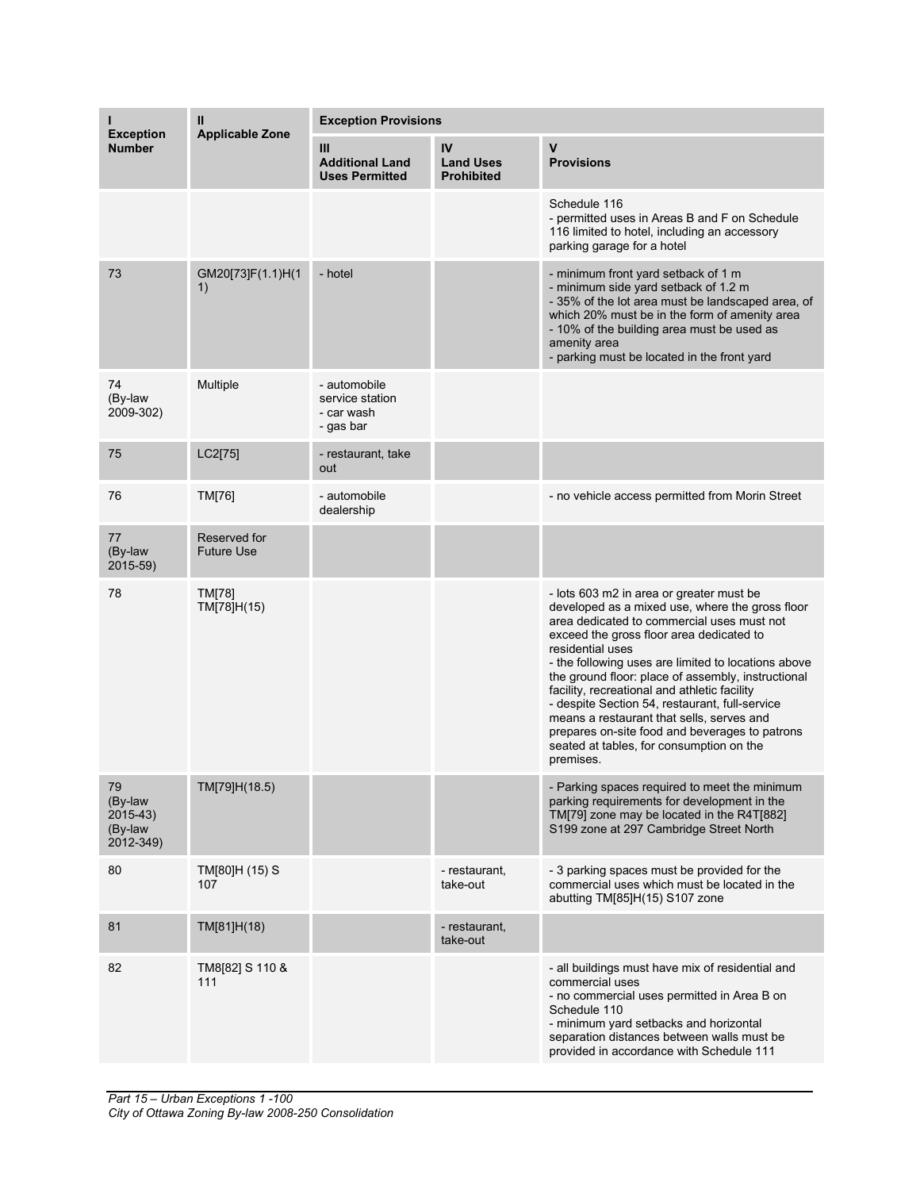| <b>Exception</b>                                   | Ш<br><b>Applicable Zone</b>       | <b>Exception Provisions</b>                                |                                             |                                                                                                                                                                                                                                                                                                                                                                                                                                                                                                                                                                                  |  |
|----------------------------------------------------|-----------------------------------|------------------------------------------------------------|---------------------------------------------|----------------------------------------------------------------------------------------------------------------------------------------------------------------------------------------------------------------------------------------------------------------------------------------------------------------------------------------------------------------------------------------------------------------------------------------------------------------------------------------------------------------------------------------------------------------------------------|--|
| <b>Number</b>                                      |                                   | Ш<br><b>Additional Land</b><br><b>Uses Permitted</b>       | IV<br><b>Land Uses</b><br><b>Prohibited</b> | $\mathsf{v}$<br><b>Provisions</b>                                                                                                                                                                                                                                                                                                                                                                                                                                                                                                                                                |  |
|                                                    |                                   |                                                            |                                             | Schedule 116<br>- permitted uses in Areas B and F on Schedule<br>116 limited to hotel, including an accessory<br>parking garage for a hotel                                                                                                                                                                                                                                                                                                                                                                                                                                      |  |
| 73                                                 | GM20[73]F(1.1)H(1<br>1)           | - hotel                                                    |                                             | - minimum front yard setback of 1 m<br>- minimum side yard setback of 1.2 m<br>- 35% of the lot area must be landscaped area, of<br>which 20% must be in the form of amenity area<br>- 10% of the building area must be used as<br>amenity area<br>- parking must be located in the front yard                                                                                                                                                                                                                                                                                   |  |
| 74<br>(By-law<br>2009-302)                         | Multiple                          | - automobile<br>service station<br>- car wash<br>- gas bar |                                             |                                                                                                                                                                                                                                                                                                                                                                                                                                                                                                                                                                                  |  |
| 75                                                 | LC2[75]                           | - restaurant, take<br>out                                  |                                             |                                                                                                                                                                                                                                                                                                                                                                                                                                                                                                                                                                                  |  |
| 76                                                 | TM[76]                            | - automobile<br>dealership                                 |                                             | - no vehicle access permitted from Morin Street                                                                                                                                                                                                                                                                                                                                                                                                                                                                                                                                  |  |
| 77<br>(By-law<br>2015-59)                          | Reserved for<br><b>Future Use</b> |                                                            |                                             |                                                                                                                                                                                                                                                                                                                                                                                                                                                                                                                                                                                  |  |
| 78                                                 | <b>TM[78]</b><br>TM[78]H(15)      |                                                            |                                             | - lots 603 m2 in area or greater must be<br>developed as a mixed use, where the gross floor<br>area dedicated to commercial uses must not<br>exceed the gross floor area dedicated to<br>residential uses<br>- the following uses are limited to locations above<br>the ground floor: place of assembly, instructional<br>facility, recreational and athletic facility<br>- despite Section 54, restaurant, full-service<br>means a restaurant that sells, serves and<br>prepares on-site food and beverages to patrons<br>seated at tables, for consumption on the<br>premises. |  |
| 79<br>(By-law<br>$2015-43$<br>(By-law<br>2012-349) | TM[79]H(18.5)                     |                                                            |                                             | - Parking spaces required to meet the minimum<br>parking requirements for development in the<br>TM[79] zone may be located in the R4T[882]<br>S199 zone at 297 Cambridge Street North                                                                                                                                                                                                                                                                                                                                                                                            |  |
| 80                                                 | TM[80]H (15) S<br>107             |                                                            | - restaurant,<br>take-out                   | - 3 parking spaces must be provided for the<br>commercial uses which must be located in the<br>abutting TM[85]H(15) S107 zone                                                                                                                                                                                                                                                                                                                                                                                                                                                    |  |
| 81                                                 | TM[81]H(18)                       |                                                            | - restaurant,<br>take-out                   |                                                                                                                                                                                                                                                                                                                                                                                                                                                                                                                                                                                  |  |
| 82                                                 | TM8[82] S 110 &<br>111            |                                                            |                                             | - all buildings must have mix of residential and<br>commercial uses<br>- no commercial uses permitted in Area B on<br>Schedule 110<br>- minimum yard setbacks and horizontal<br>separation distances between walls must be<br>provided in accordance with Schedule 111                                                                                                                                                                                                                                                                                                           |  |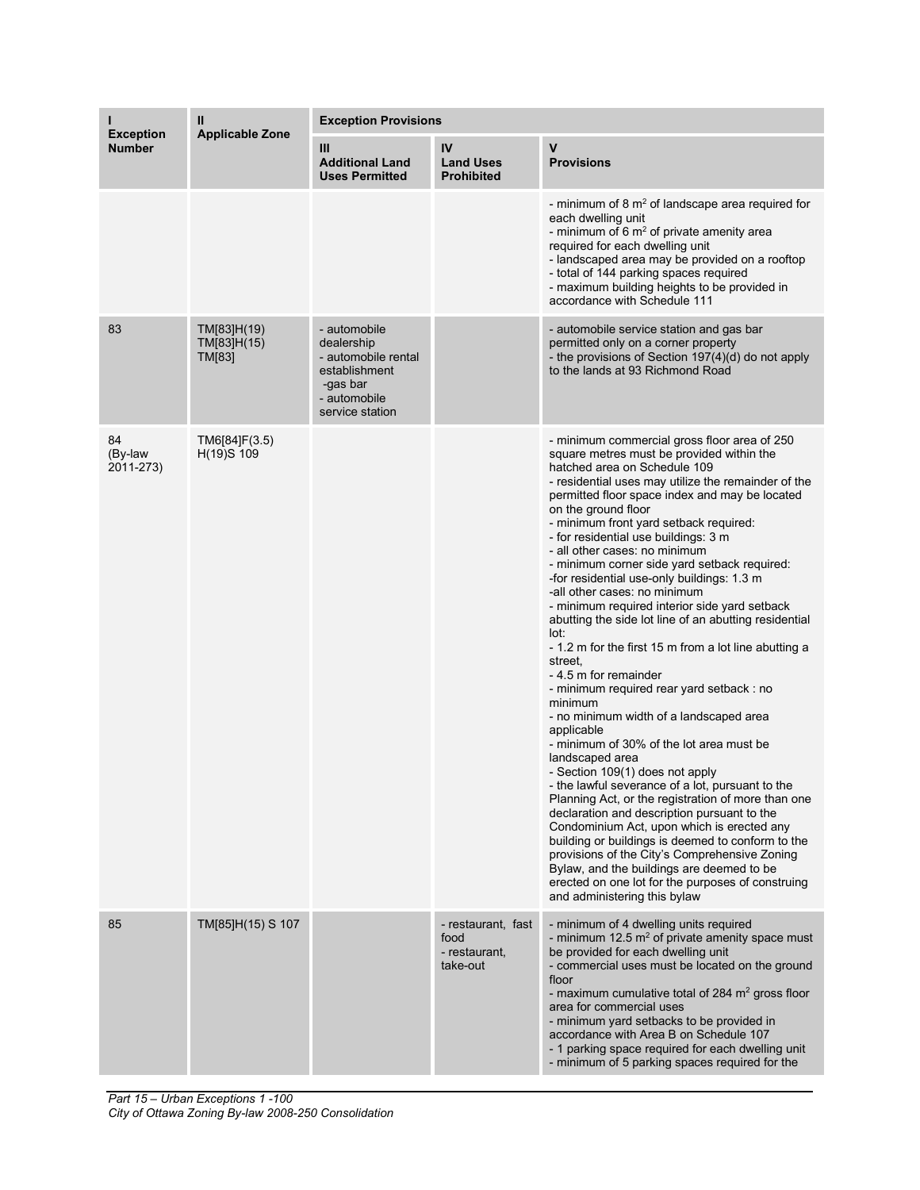| <b>Exception</b><br><b>Number</b> | Ш<br><b>Applicable Zone</b>          | <b>Exception Provisions</b>                                                                                       |                                                         |                                                                                                                                                                                                                                                                                                                                                                                                                                                                                                                                                                                                                                                                                                                                                                                                                                                                                                                                                                                                                                                                                                                                                                                                                                                                                                                                                                                            |  |
|-----------------------------------|--------------------------------------|-------------------------------------------------------------------------------------------------------------------|---------------------------------------------------------|--------------------------------------------------------------------------------------------------------------------------------------------------------------------------------------------------------------------------------------------------------------------------------------------------------------------------------------------------------------------------------------------------------------------------------------------------------------------------------------------------------------------------------------------------------------------------------------------------------------------------------------------------------------------------------------------------------------------------------------------------------------------------------------------------------------------------------------------------------------------------------------------------------------------------------------------------------------------------------------------------------------------------------------------------------------------------------------------------------------------------------------------------------------------------------------------------------------------------------------------------------------------------------------------------------------------------------------------------------------------------------------------|--|
|                                   |                                      | Ш<br><b>Additional Land</b><br><b>Uses Permitted</b>                                                              | IV<br><b>Land Uses</b><br><b>Prohibited</b>             | $\mathsf{V}$<br><b>Provisions</b>                                                                                                                                                                                                                                                                                                                                                                                                                                                                                                                                                                                                                                                                                                                                                                                                                                                                                                                                                                                                                                                                                                                                                                                                                                                                                                                                                          |  |
|                                   |                                      |                                                                                                                   |                                                         | - minimum of 8 $m2$ of landscape area required for<br>each dwelling unit<br>- minimum of 6 $m2$ of private amenity area<br>required for each dwelling unit<br>- landscaped area may be provided on a rooftop<br>- total of 144 parking spaces required<br>- maximum building heights to be provided in<br>accordance with Schedule 111                                                                                                                                                                                                                                                                                                                                                                                                                                                                                                                                                                                                                                                                                                                                                                                                                                                                                                                                                                                                                                                     |  |
| 83                                | TM[83]H(19)<br>TM[83]H(15)<br>TM[83] | - automobile<br>dealership<br>- automobile rental<br>establishment<br>-gas bar<br>- automobile<br>service station |                                                         | - automobile service station and gas bar<br>permitted only on a corner property<br>- the provisions of Section 197(4)(d) do not apply<br>to the lands at 93 Richmond Road                                                                                                                                                                                                                                                                                                                                                                                                                                                                                                                                                                                                                                                                                                                                                                                                                                                                                                                                                                                                                                                                                                                                                                                                                  |  |
| 84<br>(By-law<br>2011-273)        | TM6[84]F(3.5)<br>H(19)S 109          |                                                                                                                   |                                                         | - minimum commercial gross floor area of 250<br>square metres must be provided within the<br>hatched area on Schedule 109<br>- residential uses may utilize the remainder of the<br>permitted floor space index and may be located<br>on the ground floor<br>- minimum front yard setback required:<br>- for residential use buildings: 3 m<br>- all other cases: no minimum<br>- minimum corner side yard setback required:<br>-for residential use-only buildings: 1.3 m<br>-all other cases: no minimum<br>- minimum required interior side yard setback<br>abutting the side lot line of an abutting residential<br>lot:<br>- 1.2 m for the first 15 m from a lot line abutting a<br>street,<br>- 4.5 m for remainder<br>- minimum required rear yard setback: no<br>minimum<br>- no minimum width of a landscaped area<br>applicable<br>- minimum of 30% of the lot area must be<br>landscaped area<br>- Section 109(1) does not apply<br>- the lawful severance of a lot, pursuant to the<br>Planning Act, or the registration of more than one<br>declaration and description pursuant to the<br>Condominium Act, upon which is erected any<br>building or buildings is deemed to conform to the<br>provisions of the City's Comprehensive Zoning<br>Bylaw, and the buildings are deemed to be<br>erected on one lot for the purposes of construing<br>and administering this bylaw |  |
| 85                                | TM[85]H(15) S 107                    |                                                                                                                   | - restaurant, fast<br>food<br>- restaurant.<br>take-out | - minimum of 4 dwelling units required<br>- minimum 12.5 $m^2$ of private amenity space must<br>be provided for each dwelling unit<br>- commercial uses must be located on the ground<br>floor<br>- maximum cumulative total of 284 $m2$ gross floor<br>area for commercial uses<br>- minimum yard setbacks to be provided in<br>accordance with Area B on Schedule 107<br>- 1 parking space required for each dwelling unit<br>- minimum of 5 parking spaces required for the                                                                                                                                                                                                                                                                                                                                                                                                                                                                                                                                                                                                                                                                                                                                                                                                                                                                                                             |  |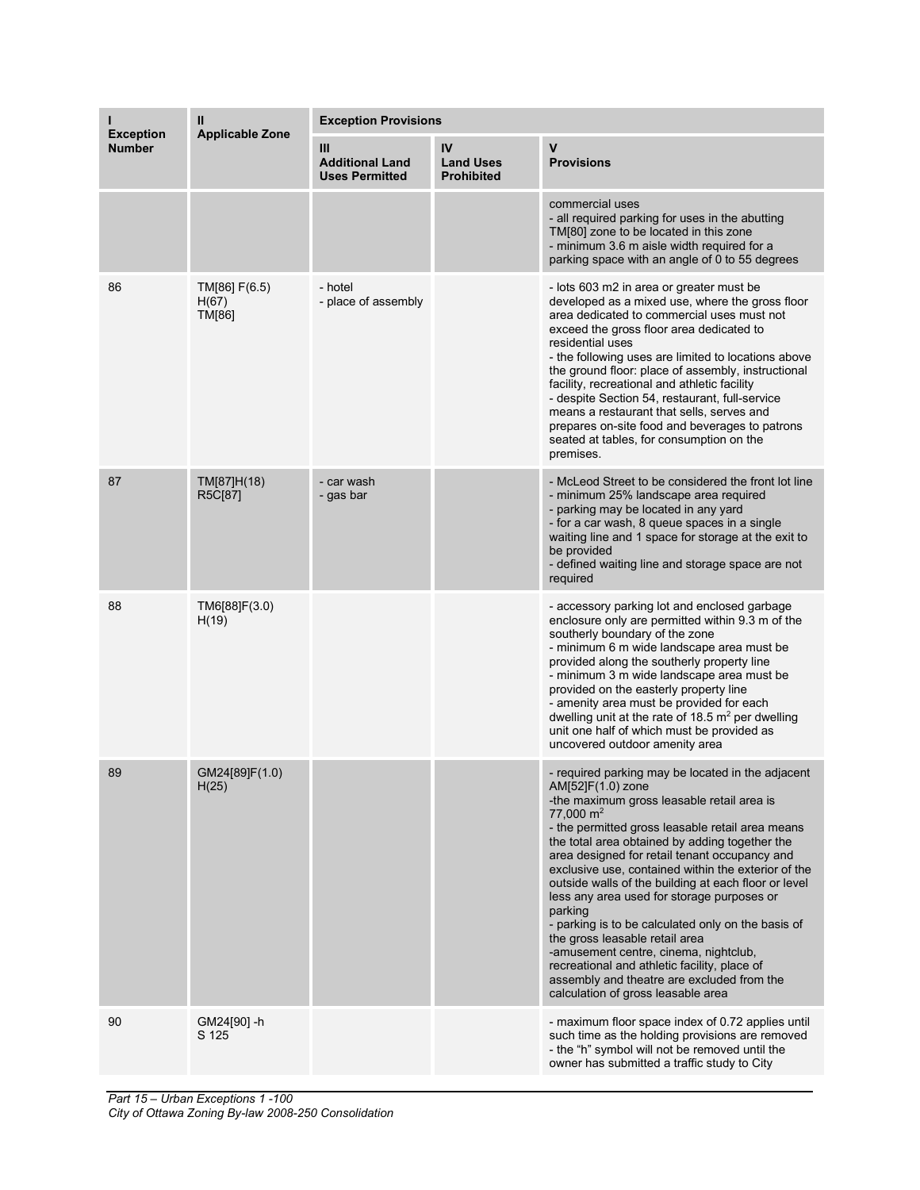| <b>Exception</b><br><b>Number</b> | Ш<br><b>Applicable Zone</b>      | <b>Exception Provisions</b>                          |                                             |                                                                                                                                                                                                                                                                                                                                                                                                                                                                                                                                                                                                                                                                                                                                                  |  |
|-----------------------------------|----------------------------------|------------------------------------------------------|---------------------------------------------|--------------------------------------------------------------------------------------------------------------------------------------------------------------------------------------------------------------------------------------------------------------------------------------------------------------------------------------------------------------------------------------------------------------------------------------------------------------------------------------------------------------------------------------------------------------------------------------------------------------------------------------------------------------------------------------------------------------------------------------------------|--|
|                                   |                                  | Ш<br><b>Additional Land</b><br><b>Uses Permitted</b> | IV<br><b>Land Uses</b><br><b>Prohibited</b> | $\mathbf v$<br><b>Provisions</b>                                                                                                                                                                                                                                                                                                                                                                                                                                                                                                                                                                                                                                                                                                                 |  |
|                                   |                                  |                                                      |                                             | commercial uses<br>- all required parking for uses in the abutting<br>TM[80] zone to be located in this zone<br>- minimum 3.6 m aisle width required for a<br>parking space with an angle of 0 to 55 degrees                                                                                                                                                                                                                                                                                                                                                                                                                                                                                                                                     |  |
| 86                                | TM[86] F(6.5)<br>H(67)<br>TM[86] | - hotel<br>- place of assembly                       |                                             | - lots 603 m2 in area or greater must be<br>developed as a mixed use, where the gross floor<br>area dedicated to commercial uses must not<br>exceed the gross floor area dedicated to<br>residential uses<br>- the following uses are limited to locations above<br>the ground floor: place of assembly, instructional<br>facility, recreational and athletic facility<br>- despite Section 54, restaurant, full-service<br>means a restaurant that sells, serves and<br>prepares on-site food and beverages to patrons<br>seated at tables, for consumption on the<br>premises.                                                                                                                                                                 |  |
| 87                                | TM[87]H(18)<br>R5C[87]           | - car wash<br>- gas bar                              |                                             | - McLeod Street to be considered the front lot line<br>- minimum 25% landscape area required<br>- parking may be located in any yard<br>- for a car wash, 8 queue spaces in a single<br>waiting line and 1 space for storage at the exit to<br>be provided<br>- defined waiting line and storage space are not<br>required                                                                                                                                                                                                                                                                                                                                                                                                                       |  |
| 88                                | TM6[88]F(3.0)<br>H(19)           |                                                      |                                             | - accessory parking lot and enclosed garbage<br>enclosure only are permitted within 9.3 m of the<br>southerly boundary of the zone<br>- minimum 6 m wide landscape area must be<br>provided along the southerly property line<br>- minimum 3 m wide landscape area must be<br>provided on the easterly property line<br>- amenity area must be provided for each<br>dwelling unit at the rate of 18.5 $m2$ per dwelling<br>unit one half of which must be provided as<br>uncovered outdoor amenity area                                                                                                                                                                                                                                          |  |
| 89                                | GM24[89]F(1.0)<br>H(25)          |                                                      |                                             | - required parking may be located in the adjacent<br>AM[52]F(1.0) zone<br>-the maximum gross leasable retail area is<br>$77,000 \text{ m}^2$<br>- the permitted gross leasable retail area means<br>the total area obtained by adding together the<br>area designed for retail tenant occupancy and<br>exclusive use, contained within the exterior of the<br>outside walls of the building at each floor or level<br>less any area used for storage purposes or<br>parking<br>- parking is to be calculated only on the basis of<br>the gross leasable retail area<br>-amusement centre, cinema, nightclub,<br>recreational and athletic facility, place of<br>assembly and theatre are excluded from the<br>calculation of gross leasable area |  |
| 90                                | GM24[90] -h<br>S 125             |                                                      |                                             | - maximum floor space index of 0.72 applies until<br>such time as the holding provisions are removed<br>- the "h" symbol will not be removed until the<br>owner has submitted a traffic study to City                                                                                                                                                                                                                                                                                                                                                                                                                                                                                                                                            |  |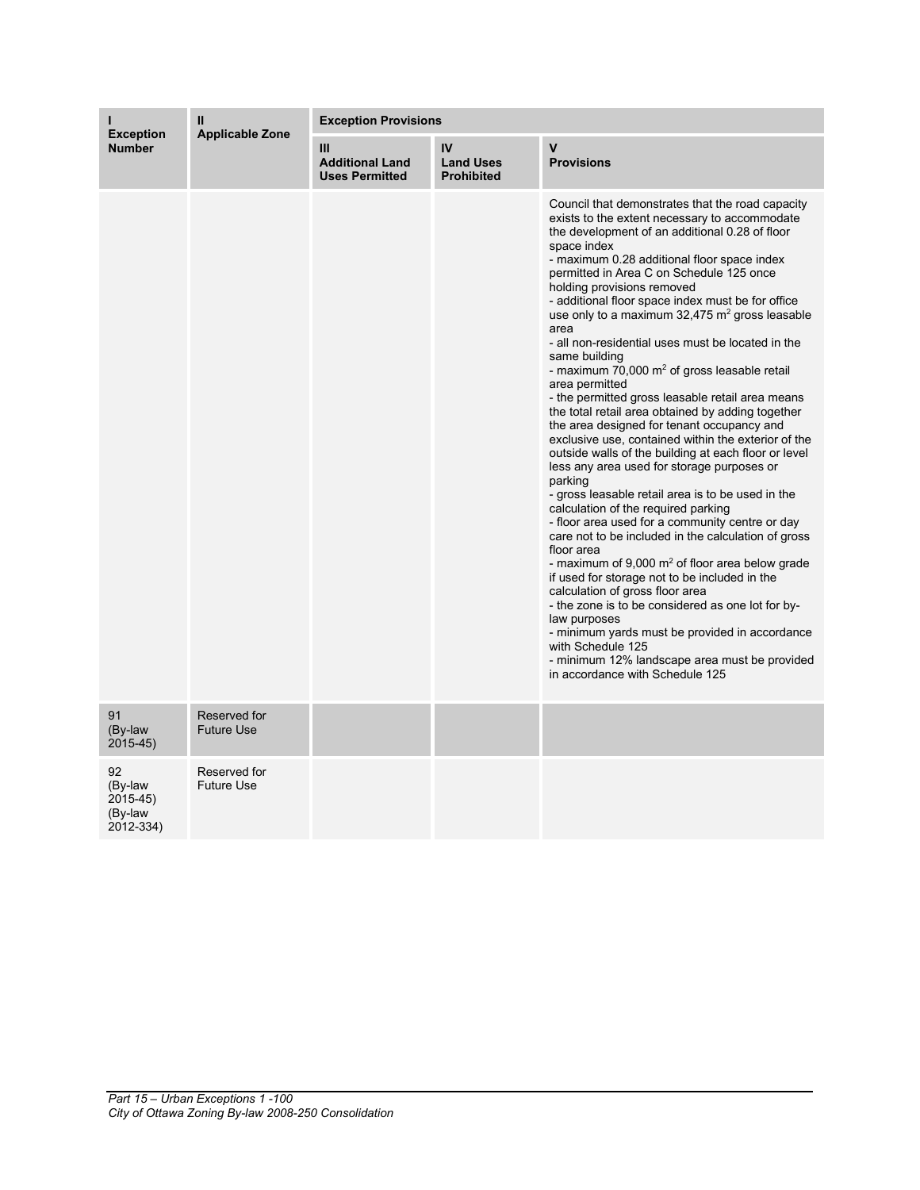| <b>Exception</b><br><b>Number</b>                 | $\mathbf{I}$<br><b>Applicable Zone</b> | <b>Exception Provisions</b>                          |                                             |                                                                                                                                                                                                                                                                                                                                                                                                                                                                                                                                                                                                                                                                                                                                                                                                                                                                                                                                                                                                                                                                                                                                                                                                                                                                                                                                                                                                                                                                                                            |  |
|---------------------------------------------------|----------------------------------------|------------------------------------------------------|---------------------------------------------|------------------------------------------------------------------------------------------------------------------------------------------------------------------------------------------------------------------------------------------------------------------------------------------------------------------------------------------------------------------------------------------------------------------------------------------------------------------------------------------------------------------------------------------------------------------------------------------------------------------------------------------------------------------------------------------------------------------------------------------------------------------------------------------------------------------------------------------------------------------------------------------------------------------------------------------------------------------------------------------------------------------------------------------------------------------------------------------------------------------------------------------------------------------------------------------------------------------------------------------------------------------------------------------------------------------------------------------------------------------------------------------------------------------------------------------------------------------------------------------------------------|--|
|                                                   |                                        | Ш<br><b>Additional Land</b><br><b>Uses Permitted</b> | IV<br><b>Land Uses</b><br><b>Prohibited</b> | $\mathbf v$<br><b>Provisions</b>                                                                                                                                                                                                                                                                                                                                                                                                                                                                                                                                                                                                                                                                                                                                                                                                                                                                                                                                                                                                                                                                                                                                                                                                                                                                                                                                                                                                                                                                           |  |
|                                                   |                                        |                                                      |                                             | Council that demonstrates that the road capacity<br>exists to the extent necessary to accommodate<br>the development of an additional 0.28 of floor<br>space index<br>- maximum 0.28 additional floor space index<br>permitted in Area C on Schedule 125 once<br>holding provisions removed<br>- additional floor space index must be for office<br>use only to a maximum $32,475$ m <sup>2</sup> gross leasable<br>area<br>- all non-residential uses must be located in the<br>same building<br>- maximum 70,000 $m2$ of gross leasable retail<br>area permitted<br>- the permitted gross leasable retail area means<br>the total retail area obtained by adding together<br>the area designed for tenant occupancy and<br>exclusive use, contained within the exterior of the<br>outside walls of the building at each floor or level<br>less any area used for storage purposes or<br>parking<br>- gross leasable retail area is to be used in the<br>calculation of the required parking<br>- floor area used for a community centre or day<br>care not to be included in the calculation of gross<br>floor area<br>- maximum of $9,000$ m <sup>2</sup> of floor area below grade<br>if used for storage not to be included in the<br>calculation of gross floor area<br>- the zone is to be considered as one lot for by-<br>law purposes<br>- minimum yards must be provided in accordance<br>with Schedule 125<br>- minimum 12% landscape area must be provided<br>in accordance with Schedule 125 |  |
| 91<br>(By-law<br>$2015 - 45$                      | Reserved for<br><b>Future Use</b>      |                                                      |                                             |                                                                                                                                                                                                                                                                                                                                                                                                                                                                                                                                                                                                                                                                                                                                                                                                                                                                                                                                                                                                                                                                                                                                                                                                                                                                                                                                                                                                                                                                                                            |  |
| 92<br>(By-law<br>2015-45)<br>(By-law<br>2012-334) | Reserved for<br><b>Future Use</b>      |                                                      |                                             |                                                                                                                                                                                                                                                                                                                                                                                                                                                                                                                                                                                                                                                                                                                                                                                                                                                                                                                                                                                                                                                                                                                                                                                                                                                                                                                                                                                                                                                                                                            |  |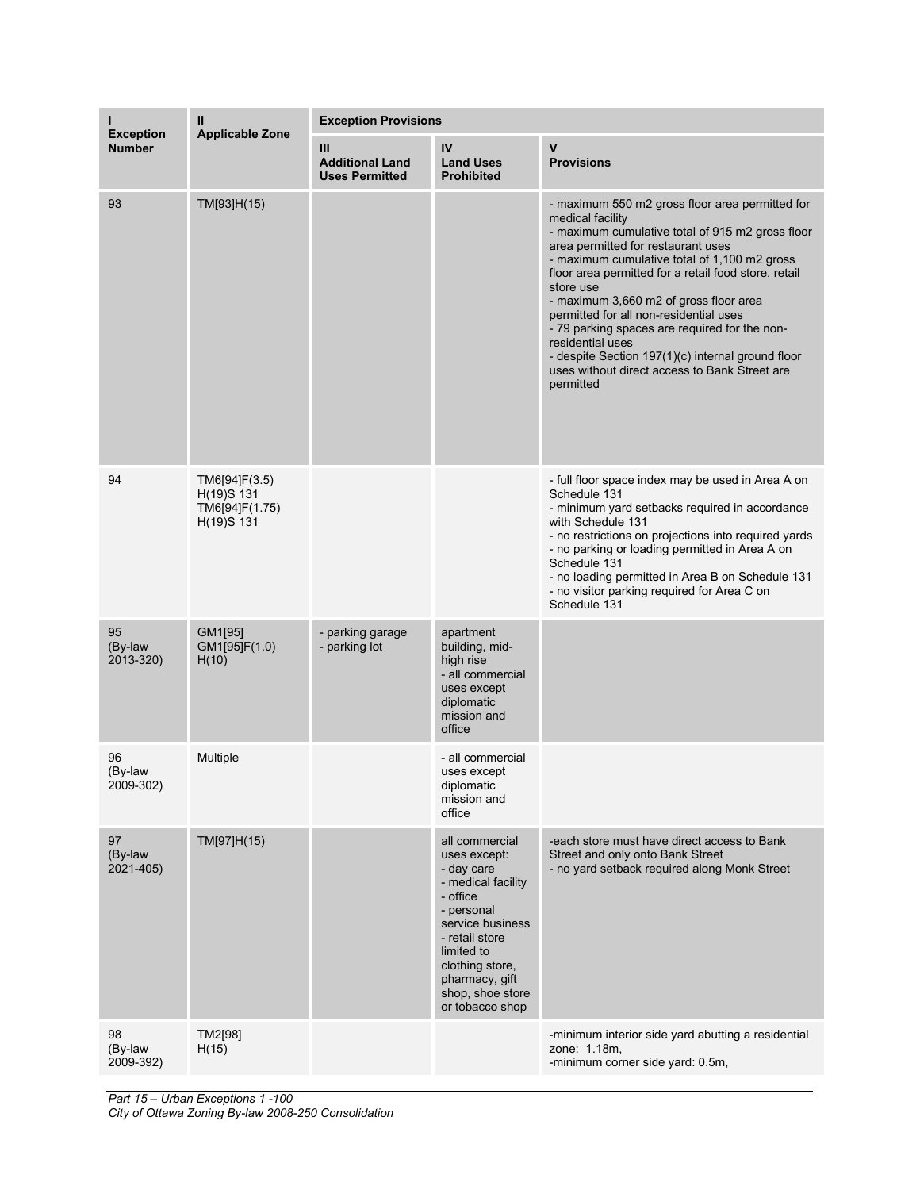| <b>Exception</b><br><b>Number</b> | Ш<br><b>Applicable Zone</b>                                 | <b>Exception Provisions</b>                          |                                                                                                                                                                                                                              |                                                                                                                                                                                                                                                                                                                                                                                                                                                                                                                                                                |  |
|-----------------------------------|-------------------------------------------------------------|------------------------------------------------------|------------------------------------------------------------------------------------------------------------------------------------------------------------------------------------------------------------------------------|----------------------------------------------------------------------------------------------------------------------------------------------------------------------------------------------------------------------------------------------------------------------------------------------------------------------------------------------------------------------------------------------------------------------------------------------------------------------------------------------------------------------------------------------------------------|--|
|                                   |                                                             | Ш<br><b>Additional Land</b><br><b>Uses Permitted</b> | IV<br><b>Land Uses</b><br><b>Prohibited</b>                                                                                                                                                                                  | V<br><b>Provisions</b>                                                                                                                                                                                                                                                                                                                                                                                                                                                                                                                                         |  |
| 93                                | TM[93]H(15)                                                 |                                                      |                                                                                                                                                                                                                              | - maximum 550 m2 gross floor area permitted for<br>medical facility<br>- maximum cumulative total of 915 m2 gross floor<br>area permitted for restaurant uses<br>- maximum cumulative total of 1,100 m2 gross<br>floor area permitted for a retail food store, retail<br>store use<br>- maximum 3,660 m2 of gross floor area<br>permitted for all non-residential uses<br>- 79 parking spaces are required for the non-<br>residential uses<br>- despite Section 197(1)(c) internal ground floor<br>uses without direct access to Bank Street are<br>permitted |  |
| 94                                | TM6[94]F(3.5)<br>H(19)S 131<br>TM6[94]F(1.75)<br>H(19)S 131 |                                                      |                                                                                                                                                                                                                              | - full floor space index may be used in Area A on<br>Schedule 131<br>- minimum yard setbacks required in accordance<br>with Schedule 131<br>- no restrictions on projections into required yards<br>- no parking or loading permitted in Area A on<br>Schedule 131<br>- no loading permitted in Area B on Schedule 131<br>- no visitor parking required for Area C on<br>Schedule 131                                                                                                                                                                          |  |
| 95<br>(By-law<br>2013-320)        | GM1[95]<br>GM1[95]F(1.0)<br>H(10)                           | - parking garage<br>- parking lot                    | apartment<br>building, mid-<br>high rise<br>- all commercial<br>uses except<br>diplomatic<br>mission and<br>office                                                                                                           |                                                                                                                                                                                                                                                                                                                                                                                                                                                                                                                                                                |  |
| 96<br>(By-law<br>2009-302)        | Multiple                                                    |                                                      | - all commercial<br>uses except<br>diplomatic<br>mission and<br>office                                                                                                                                                       |                                                                                                                                                                                                                                                                                                                                                                                                                                                                                                                                                                |  |
| 97<br>(By-law<br>2021-405)        | TM[97]H(15)                                                 |                                                      | all commercial<br>uses except:<br>- day care<br>- medical facility<br>- office<br>- personal<br>service business<br>- retail store<br>limited to<br>clothing store,<br>pharmacy, gift<br>shop, shoe store<br>or tobacco shop | -each store must have direct access to Bank<br>Street and only onto Bank Street<br>- no yard setback required along Monk Street                                                                                                                                                                                                                                                                                                                                                                                                                                |  |
| 98<br>(By-law<br>2009-392)        | TM2[98]<br>H(15)                                            |                                                      |                                                                                                                                                                                                                              | -minimum interior side yard abutting a residential<br>zone: 1.18m,<br>-minimum corner side yard: 0.5m,                                                                                                                                                                                                                                                                                                                                                                                                                                                         |  |